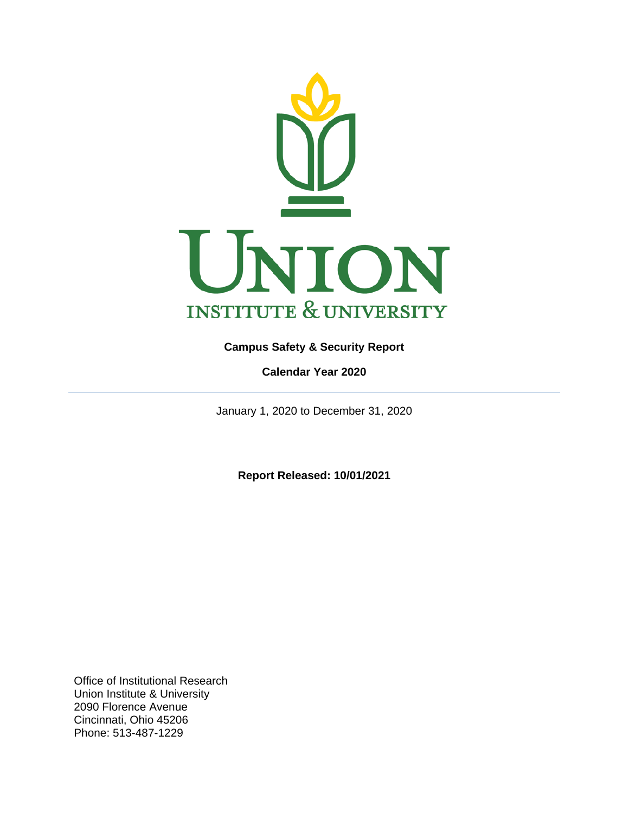

## <span id="page-0-0"></span>**Campus Safety & Security Report**

**Calendar Year 2020**

<span id="page-0-1"></span>January 1, 2020 to December 31, 2020

**Report Released: 10/01/2021**

Office of Institutional Research Union Institute & University 2090 Florence Avenue Cincinnati, Ohio 45206 Phone: 513-487-1229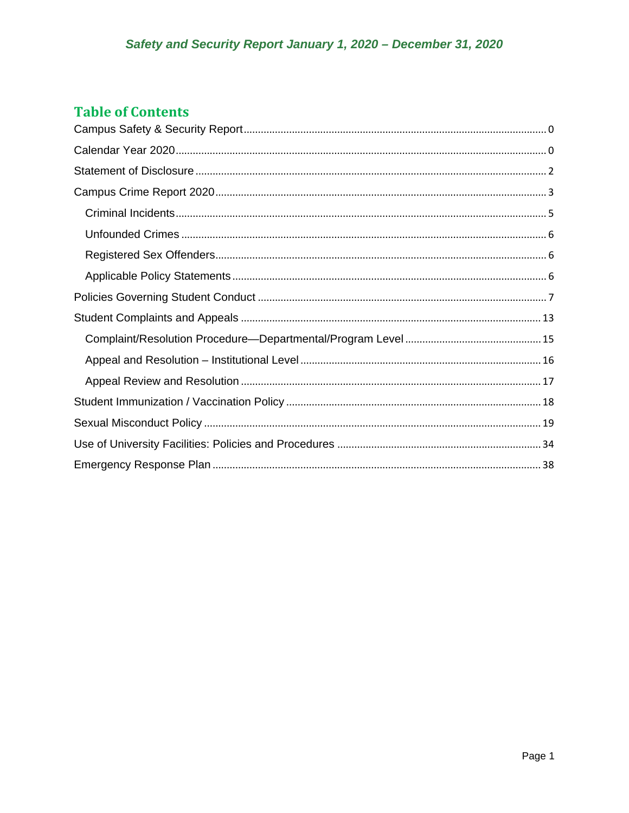# **Table of Contents**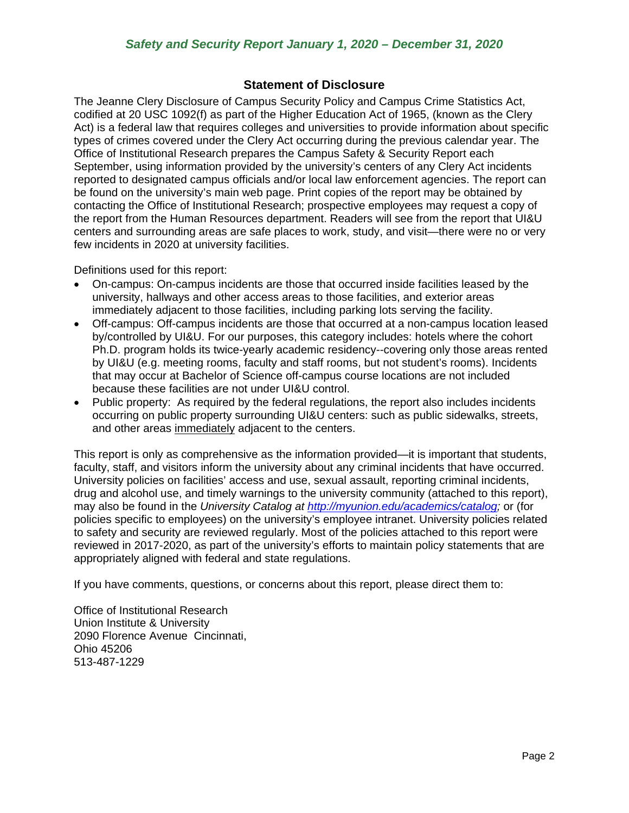## **Statement of Disclosure**

<span id="page-2-0"></span>The Jeanne Clery Disclosure of Campus Security Policy and Campus Crime Statistics Act, codified at 20 USC 1092(f) as part of the Higher Education Act of 1965, (known as the Clery Act) is a federal law that requires colleges and universities to provide information about specific types of crimes covered under the Clery Act occurring during the previous calendar year. The Office of Institutional Research prepares the Campus Safety & Security Report each September, using information provided by the university's centers of any Clery Act incidents reported to designated campus officials and/or local law enforcement agencies. The report can be found on the university's main web page. Print copies of the report may be obtained by contacting the Office of Institutional Research; prospective employees may request a copy of the report from the Human Resources department. Readers will see from the report that UI&U centers and surrounding areas are safe places to work, study, and visit—there were no or very few incidents in 2020 at university facilities.

Definitions used for this report:

- On-campus: On-campus incidents are those that occurred inside facilities leased by the university, hallways and other access areas to those facilities, and exterior areas immediately adjacent to those facilities, including parking lots serving the facility.
- Off-campus: Off-campus incidents are those that occurred at a non-campus location leased by/controlled by UI&U. For our purposes, this category includes: hotels where the cohort Ph.D. program holds its twice-yearly academic residency--covering only those areas rented by UI&U (e.g. meeting rooms, faculty and staff rooms, but not student's rooms). Incidents that may occur at Bachelor of Science off-campus course locations are not included because these facilities are not under UI&U control.
- Public property: As required by the federal regulations, the report also includes incidents occurring on public property surrounding UI&U centers: such as public sidewalks, streets, and other areas immediately adjacent to the centers.

This report is only as comprehensive as the information provided—it is important that students, faculty, staff, and visitors inform the university about any criminal incidents that have occurred. University policies on facilities' access and use, sexual assault, reporting criminal incidents, drug and alcohol use, and timely warnings to the university community (attached to this report), may also be found in the *University Catalog at [http://myunion.edu/academics/catalog;](http://myunion.edu/academics/catalog)* or (for policies specific to employees) on the university's employee intranet. University policies related to safety and security are reviewed regularly. Most of the policies attached to this report were reviewed in 2017-2020, as part of the university's efforts to maintain policy statements that are appropriately aligned with federal and state regulations.

If you have comments, questions, or concerns about this report, please direct them to:

Office of Institutional Research Union Institute & University 2090 Florence Avenue Cincinnati, Ohio 45206 513-487-1229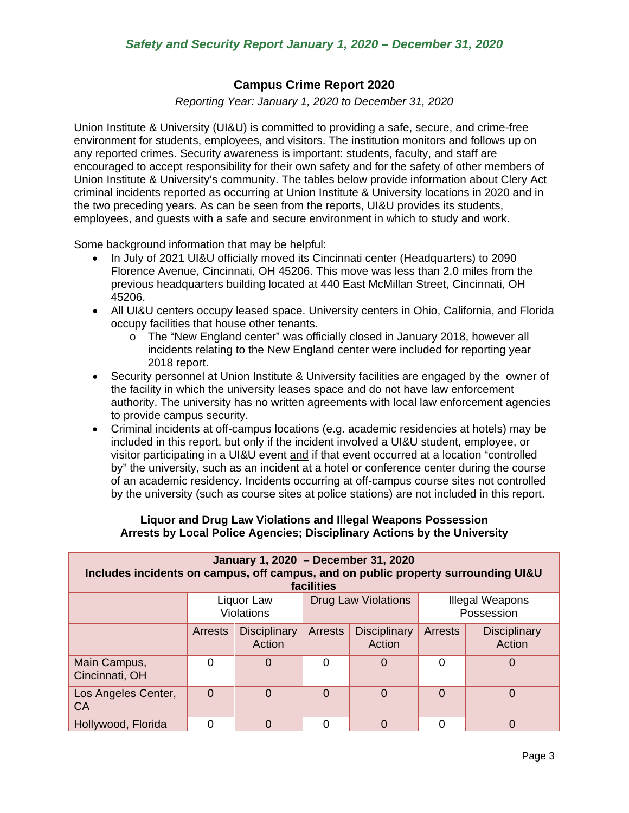## **Campus Crime Report 2020**

*Reporting Year: January 1, 2020 to December 31, 2020*

<span id="page-3-0"></span>Union Institute & University (UI&U) is committed to providing a safe, secure, and crime-free environment for students, employees, and visitors. The institution monitors and follows up on any reported crimes. Security awareness is important: students, faculty, and staff are encouraged to accept responsibility for their own safety and for the safety of other members of Union Institute & University's community. The tables below provide information about Clery Act criminal incidents reported as occurring at Union Institute & University locations in 2020 and in the two preceding years. As can be seen from the reports, UI&U provides its students, employees, and guests with a safe and secure environment in which to study and work.

Some background information that may be helpful:

- In July of 2021 UI&U officially moved its Cincinnati center (Headquarters) to 2090 Florence Avenue, Cincinnati, OH 45206. This move was less than 2.0 miles from the previous headquarters building located at 440 East McMillan Street, Cincinnati, OH 45206.
- All UI&U centers occupy leased space. University centers in Ohio, California, and Florida occupy facilities that house other tenants.
	- o The "New England center" was officially closed in January 2018, however all incidents relating to the New England center were included for reporting year 2018 report.
- Security personnel at Union Institute & University facilities are engaged by the owner of the facility in which the university leases space and do not have law enforcement authority. The university has no written agreements with local law enforcement agencies to provide campus security.
- Criminal incidents at off-campus locations (e.g. academic residencies at hotels) may be included in this report, but only if the incident involved a UI&U student, employee, or visitor participating in a UI&U event and if that event occurred at a location "controlled by" the university, such as an incident at a hotel or conference center during the course of an academic residency. Incidents occurring at off-campus course sites not controlled by the university (such as course sites at police stations) are not included in this report.

### **Liquor and Drug Law Violations and Illegal Weapons Possession Arrests by Local Police Agencies; Disciplinary Actions by the University**

| January 1, 2020 - December 31, 2020<br>Includes incidents on campus, off campus, and on public property surrounding UI&U<br>facilities |                |                                 |                |                               |                                      |                               |
|----------------------------------------------------------------------------------------------------------------------------------------|----------------|---------------------------------|----------------|-------------------------------|--------------------------------------|-------------------------------|
|                                                                                                                                        |                | Liquor Law<br><b>Violations</b> |                | <b>Drug Law Violations</b>    | <b>Illegal Weapons</b><br>Possession |                               |
|                                                                                                                                        | <b>Arrests</b> | <b>Disciplinary</b><br>Action   | <b>Arrests</b> | <b>Disciplinary</b><br>Action | <b>Arrests</b>                       | <b>Disciplinary</b><br>Action |
| Main Campus,<br>Cincinnati, OH                                                                                                         | 0              | 0                               | 0              | 0                             | 0                                    | O                             |
| Los Angeles Center,<br>CA                                                                                                              | 0              | $\Omega$                        | 0              | $\overline{0}$                | $\Omega$                             | $\Omega$                      |
| Hollywood, Florida                                                                                                                     |                | 0                               |                | 0                             |                                      | 0                             |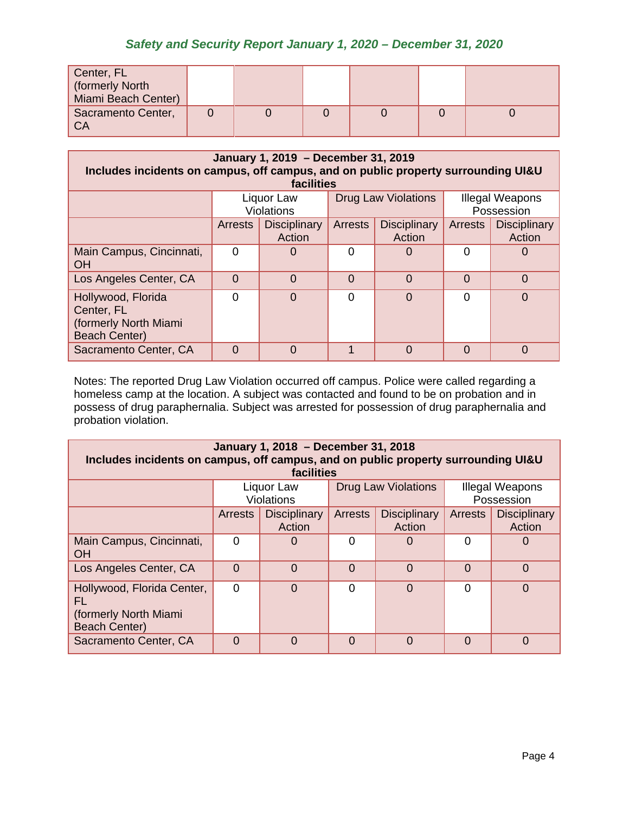| Center, FL<br>(formerly North<br>Miami Beach Center) |  |  |  |
|------------------------------------------------------|--|--|--|
| Sacramento Center,<br><b>CA</b>                      |  |  |  |

| January 1, 2019 - December 31, 2019<br>Includes incidents on campus, off campus, and on public property surrounding UI&U<br>facilities |                                                               |                               |          |                               |                |                               |
|----------------------------------------------------------------------------------------------------------------------------------------|---------------------------------------------------------------|-------------------------------|----------|-------------------------------|----------------|-------------------------------|
|                                                                                                                                        | <b>Drug Law Violations</b><br>Liquor Law<br><b>Violations</b> |                               |          |                               |                | Illegal Weapons<br>Possession |
|                                                                                                                                        | <b>Arrests</b>                                                | <b>Disciplinary</b><br>Action | Arrests  | <b>Disciplinary</b><br>Action | <b>Arrests</b> | <b>Disciplinary</b><br>Action |
| Main Campus, Cincinnati,<br><b>OH</b>                                                                                                  |                                                               | 0                             | 0        |                               | $\Omega$       |                               |
| Los Angeles Center, CA                                                                                                                 | $\Omega$                                                      | $\Omega$                      | $\Omega$ | $\Omega$                      | $\Omega$       | $\Omega$                      |
| Hollywood, Florida<br>Center, FL<br>(formerly North Miami<br><b>Beach Center)</b>                                                      |                                                               | 0                             | $\Omega$ | $\Omega$                      | $\Omega$       | $\Omega$                      |
| Sacramento Center, CA                                                                                                                  | $\Omega$                                                      | 0                             | 1        | $\Omega$                      | $\Omega$       | $\Omega$                      |

Notes: The reported Drug Law Violation occurred off campus. Police were called regarding a homeless camp at the location. A subject was contacted and found to be on probation and in possess of drug paraphernalia. Subject was arrested for possession of drug paraphernalia and probation violation.

| January 1, 2018 - December 31, 2018<br>Includes incidents on campus, off campus, and on public property surrounding UI&U<br>facilities |                |                                 |                            |                               |                                      |                               |
|----------------------------------------------------------------------------------------------------------------------------------------|----------------|---------------------------------|----------------------------|-------------------------------|--------------------------------------|-------------------------------|
|                                                                                                                                        |                | Liquor Law<br><b>Violations</b> | <b>Drug Law Violations</b> |                               | <b>Illegal Weapons</b><br>Possession |                               |
|                                                                                                                                        | <b>Arrests</b> | <b>Disciplinary</b><br>Action   | <b>Arrests</b>             | <b>Disciplinary</b><br>Action | <b>Arrests</b>                       | <b>Disciplinary</b><br>Action |
| Main Campus, Cincinnati,<br><b>OH</b>                                                                                                  | $\Omega$       |                                 | 0                          | O                             | $\Omega$                             |                               |
| Los Angeles Center, CA                                                                                                                 | $\Omega$       | $\Omega$                        | $\Omega$                   | $\Omega$                      | $\Omega$                             | $\Omega$                      |
| Hollywood, Florida Center,<br>FL<br>(formerly North Miami)<br><b>Beach Center)</b>                                                     | $\Omega$       | $\Omega$                        | $\Omega$                   | $\overline{0}$                | $\Omega$                             | O                             |
| Sacramento Center, CA                                                                                                                  | $\Omega$       | $\Omega$                        | $\Omega$                   | $\Omega$                      | $\Omega$                             | $\Omega$                      |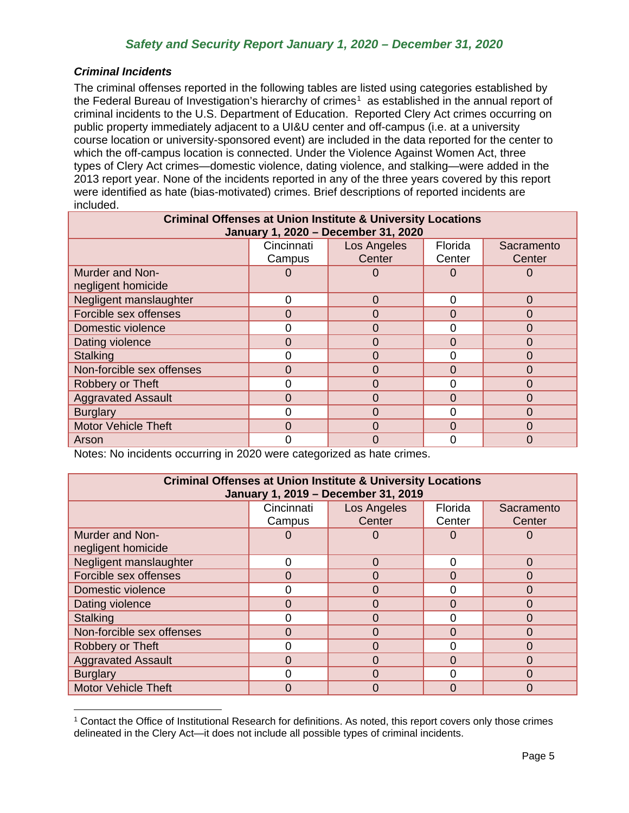### <span id="page-5-0"></span>*Criminal Incidents*

The criminal offenses reported in the following tables are listed using categories established by the Federal Bureau of Investigation's hierarchy of crimes<sup>1</sup> as established in the annual report of criminal incidents to the U.S. Department of Education. Reported Clery Act crimes occurring on public property immediately adjacent to a UI&U center and off-campus (i.e. at a university course location or university-sponsored event) are included in the data reported for the center to which the off-campus location is connected. Under the Violence Against Women Act, three types of Clery Act crimes—domestic violence, dating violence, and stalking—were added in the 2013 report year. None of the incidents reported in any of the three years covered by this report were identified as hate (bias-motivated) crimes. Brief descriptions of reported incidents are included.

| <b>Criminal Offenses at Union Institute &amp; University Locations</b><br>January 1, 2020 - December 31, 2020 |            |                                      |                |          |
|---------------------------------------------------------------------------------------------------------------|------------|--------------------------------------|----------------|----------|
|                                                                                                               | Cincinnati | Los Angeles<br>Florida<br>Sacramento |                |          |
|                                                                                                               | Campus     | Center                               | Center         | Center   |
| <b>Murder and Non-</b>                                                                                        |            |                                      | O              | Ü        |
| negligent homicide                                                                                            |            |                                      |                |          |
| Negligent manslaughter                                                                                        | 0          | $\Omega$                             | $\Omega$       | $\Omega$ |
| Forcible sex offenses                                                                                         | $\Omega$   | ი                                    | $\Omega$       | 0        |
| Domestic violence                                                                                             | 0          | 0                                    | $\Omega$       | 0        |
| Dating violence                                                                                               | 0          | ი                                    | $\Omega$       | 0        |
| <b>Stalking</b>                                                                                               | 0          |                                      | $\overline{0}$ | 0        |
| Non-forcible sex offenses                                                                                     | 0          |                                      | $\Omega$       | 0        |
| Robbery or Theft                                                                                              | 0          | 0                                    | $\Omega$       | $\Omega$ |
| <b>Aggravated Assault</b>                                                                                     | 0          | ი                                    | $\Omega$       | 0        |
| <b>Burglary</b>                                                                                               | 0          | ი                                    | $\Omega$       | 0        |
| <b>Motor Vehicle Theft</b>                                                                                    | 0          | 0                                    | $\Omega$       | $\Omega$ |
| Arson                                                                                                         | ი          | 0                                    | $\Omega$       | 0        |

Notes: No incidents occurring in 2020 were categorized as hate crimes.

| <b>Criminal Offenses at Union Institute &amp; University Locations</b><br>January 1, 2019 - December 31, 2019 |            |             |          |            |  |
|---------------------------------------------------------------------------------------------------------------|------------|-------------|----------|------------|--|
|                                                                                                               | Cincinnati | Los Angeles | Florida  | Sacramento |  |
|                                                                                                               | Campus     | Center      | Center   | Center     |  |
| <b>Murder and Non-</b>                                                                                        |            |             | 0        | 0          |  |
| negligent homicide                                                                                            |            |             |          |            |  |
| Negligent manslaughter                                                                                        | 0          | $\Omega$    | $\Omega$ | $\Omega$   |  |
| Forcible sex offenses                                                                                         | 0          |             | $\Omega$ | $\Omega$   |  |
| Domestic violence                                                                                             | ი          | 0           | 0        | 0          |  |
| Dating violence                                                                                               | 0          |             | $\Omega$ | $\Omega$   |  |
| <b>Stalking</b>                                                                                               | ი          | 0           | $\Omega$ | $\Omega$   |  |
| Non-forcible sex offenses                                                                                     | 0          |             | $\Omega$ | 0          |  |
| Robbery or Theft                                                                                              | ი          |             | 0        | $\Omega$   |  |
| <b>Aggravated Assault</b>                                                                                     | 0          | 0           | $\Omega$ | $\Omega$   |  |
| <b>Burglary</b>                                                                                               | 0          |             | $\Omega$ | $\Omega$   |  |
| <b>Motor Vehicle Theft</b>                                                                                    | 0          |             | $\Omega$ | 0          |  |

<span id="page-5-1"></span><sup>1</sup> Contact the Office of Institutional Research for definitions. As noted, this report covers only those crimes delineated in the Clery Act—it does not include all possible types of criminal incidents.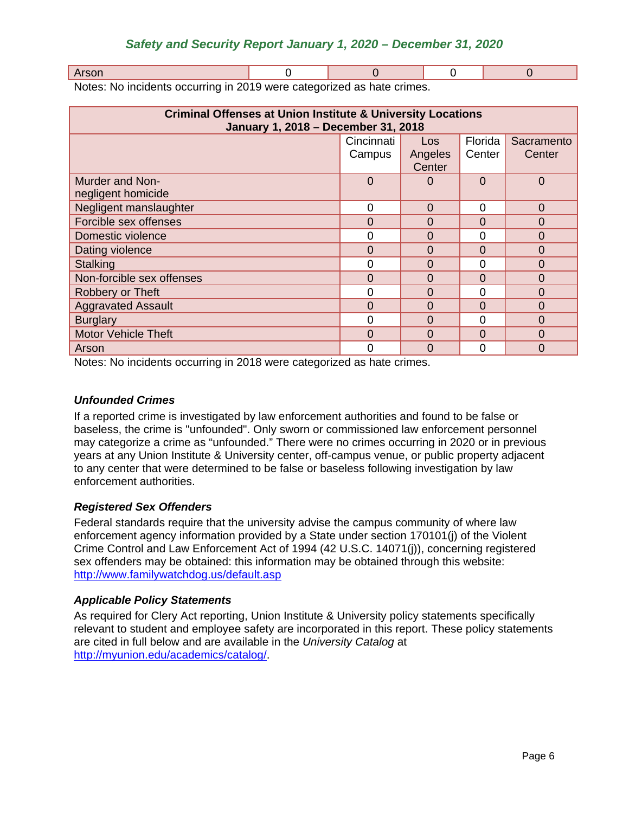| .<br>$\sim$<br>110011 |  |  |  |  |
|-----------------------|--|--|--|--|
|-----------------------|--|--|--|--|

Notes: No incidents occurring in 2019 were categorized as hate crimes.

| <b>Criminal Offenses at Union Institute &amp; University Locations</b><br>January 1, 2018 - December 31, 2018 |                |                   |          |            |
|---------------------------------------------------------------------------------------------------------------|----------------|-------------------|----------|------------|
|                                                                                                               | Cincinnati     | Los               | Florida  | Sacramento |
|                                                                                                               | Campus         | Angeles<br>Center | Center   | Center     |
| Murder and Non-                                                                                               | $\overline{0}$ |                   | $\Omega$ | $\Omega$   |
| negligent homicide                                                                                            |                |                   |          |            |
| Negligent manslaughter                                                                                        | 0              | $\Omega$          | 0        | $\Omega$   |
| Forcible sex offenses                                                                                         | 0              | 0                 | 0        | $\Omega$   |
| Domestic violence                                                                                             | 0              | 0                 | 0        | $\Omega$   |
| Dating violence                                                                                               | $\overline{0}$ | 0                 | $\Omega$ | 0          |
| <b>Stalking</b>                                                                                               | 0              | 0                 | 0        | 0          |
| Non-forcible sex offenses                                                                                     | 0              | 0                 | $\Omega$ | 0          |
| Robbery or Theft                                                                                              | 0              | $\Omega$          | $\Omega$ | 0          |
| <b>Aggravated Assault</b>                                                                                     | 0              | $\Omega$          | 0        | $\Omega$   |
| <b>Burglary</b>                                                                                               | $\overline{0}$ | $\Omega$          | $\Omega$ | $\Omega$   |
| <b>Motor Vehicle Theft</b>                                                                                    | 0              | $\Omega$          | $\Omega$ | $\Omega$   |
| Arson                                                                                                         | 0              | 0                 | 0        | $\Omega$   |

Notes: No incidents occurring in 2018 were categorized as hate crimes.

## <span id="page-6-0"></span>*Unfounded Crimes*

If a reported crime is investigated by law enforcement authorities and found to be false or baseless, the crime is "unfounded". Only sworn or commissioned law enforcement personnel may categorize a crime as "unfounded." There were no crimes occurring in 2020 or in previous years at any Union Institute & University center, off-campus venue, or public property adjacent to any center that were determined to be false or baseless following investigation by law enforcement authorities.

## <span id="page-6-1"></span>*Registered Sex Offenders*

Federal standards require that the university advise the campus community of where law enforcement agency information provided by a State under section 170101(j) of the Violent Crime Control and Law Enforcement Act of 1994 (42 U.S.C. 14071(j)), concerning registered sex offenders may be obtained: this information may be obtained through this website: <http://www.familywatchdog.us/default.asp>

## <span id="page-6-2"></span>*Applicable Policy Statements*

As required for Clery Act reporting, Union Institute & University policy statements specifically relevant to student and employee safety are incorporated in this report. These policy statements are cited in full below and are available in the *University Catalog* at [http://myunion.edu/academics/catalog/.](http://myunion.edu/academics/catalog/)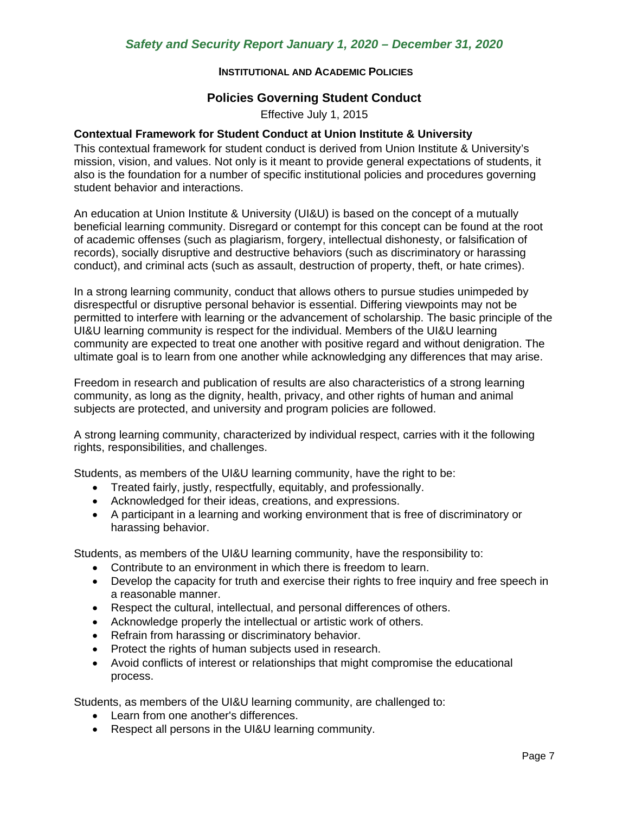### **INSTITUTIONAL AND ACADEMIC POLICIES**

### **Policies Governing Student Conduct**

Effective July 1, 2015

### <span id="page-7-0"></span>**Contextual Framework for Student Conduct at Union Institute & University**

This contextual framework for student conduct is derived from Union Institute & University's mission, vision, and values. Not only is it meant to provide general expectations of students, it also is the foundation for a number of specific institutional policies and procedures governing student behavior and interactions.

An education at Union Institute & University (UI&U) is based on the concept of a mutually beneficial learning community. Disregard or contempt for this concept can be found at the root of academic offenses (such as plagiarism, forgery, intellectual dishonesty, or falsification of records), socially disruptive and destructive behaviors (such as discriminatory or harassing conduct), and criminal acts (such as assault, destruction of property, theft, or hate crimes).

In a strong learning community, conduct that allows others to pursue studies unimpeded by disrespectful or disruptive personal behavior is essential. Differing viewpoints may not be permitted to interfere with learning or the advancement of scholarship. The basic principle of the UI&U learning community is respect for the individual. Members of the UI&U learning community are expected to treat one another with positive regard and without denigration. The ultimate goal is to learn from one another while acknowledging any differences that may arise.

Freedom in research and publication of results are also characteristics of a strong learning community, as long as the dignity, health, privacy, and other rights of human and animal subjects are protected, and university and program policies are followed.

A strong learning community, characterized by individual respect, carries with it the following rights, responsibilities, and challenges.

Students, as members of the UI&U learning community, have the right to be:

- Treated fairly, justly, respectfully, equitably, and professionally.
- Acknowledged for their ideas, creations, and expressions.
- A participant in a learning and working environment that is free of discriminatory or harassing behavior.

Students, as members of the UI&U learning community, have the responsibility to:

- Contribute to an environment in which there is freedom to learn.
- Develop the capacity for truth and exercise their rights to free inquiry and free speech in a reasonable manner.
- Respect the cultural, intellectual, and personal differences of others.
- Acknowledge properly the intellectual or artistic work of others.
- Refrain from harassing or discriminatory behavior.
- Protect the rights of human subjects used in research.
- Avoid conflicts of interest or relationships that might compromise the educational process.

Students, as members of the UI&U learning community, are challenged to:

- Learn from one another's differences.
- Respect all persons in the UI&U learning community.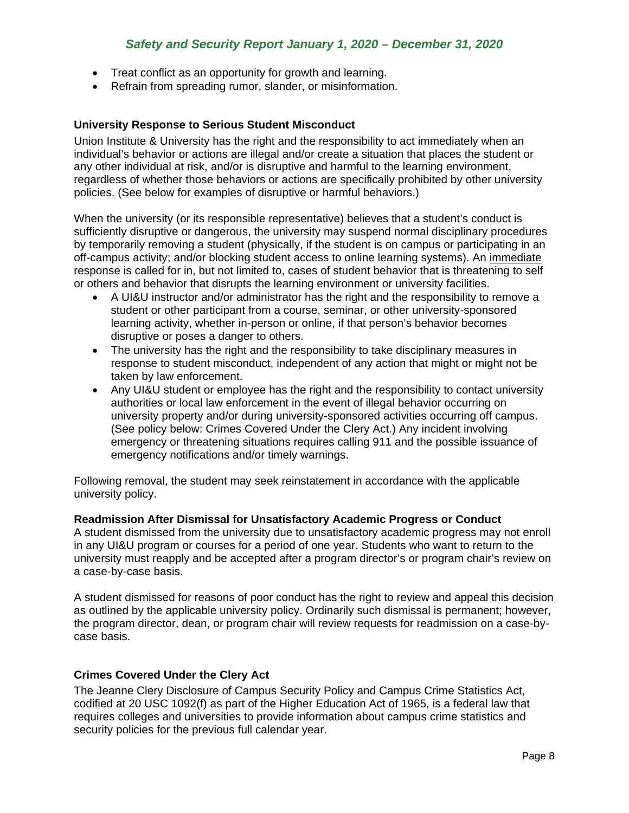- Treat conflict as an opportunity for growth and learning.
- Refrain from spreading rumor, slander, or misinformation.

### **University Response to Serious Student Misconduct**

Union Institute & University has the right and the responsibility to act immediately when an individual's behavior or actions are illegal and/or create a situation that places the student or any other individual at risk, and/or is disruptive and harmful to the learning environment, regardless of whether those behaviors or actions are specifically prohibited by other university policies. (See below for examples of disruptive or harmful behaviors.)

When the university (or its responsible representative) believes that a student's conduct is sufficiently disruptive or dangerous, the university may suspend normal disciplinary procedures by temporarily removing a student (physically, if the student is on campus or participating in an off-campus activity; and/or blocking student access to online learning systems). An immediate response is called for in, but not limited to, cases of student behavior that is threatening to self or others and behavior that disrupts the learning environment or university facilities.

- A UI&U instructor and/or administrator has the right and the responsibility to remove a student or other participant from a course, seminar, or other university-sponsored learning activity, whether in-person or online, if that person's behavior becomes disruptive or poses a danger to others.
- The university has the right and the responsibility to take disciplinary measures in response to student misconduct, independent of any action that might or might not be taken by law enforcement.
- Any UI&U student or employee has the right and the responsibility to contact university authorities or local law enforcement in the event of illegal behavior occurring on university property and/or during university-sponsored activities occurring off campus. (See policy below: Crimes Covered Under the Clery Act.) Any incident involving emergency or threatening situations requires calling 911 and the possible issuance of emergency notifications and/or timely warnings.

Following removal, the student may seek reinstatement in accordance with the applicable university policy.

### **Readmission After Dismissal for Unsatisfactory Academic Progress or Conduct**

A student dismissed from the university due to unsatisfactory academic progress may not enroll in any UI&U program or courses for a period of one year. Students who want to return to the university must reapply and be accepted after a program director's or program chair's review on a case-by-case basis.

A student dismissed for reasons of poor conduct has the right to review and appeal this decision as outlined by the applicable university policy. Ordinarily such dismissal is permanent; however, the program director, dean, or program chair will review requests for readmission on a case-bycase basis.

### **Crimes Covered Under the Clery Act**

The Jeanne Clery Disclosure of Campus Security Policy and Campus Crime Statistics Act, codified at 20 USC 1092(f) as part of the Higher Education Act of 1965, is a federal law that requires colleges and universities to provide information about campus crime statistics and security policies for the previous full calendar year.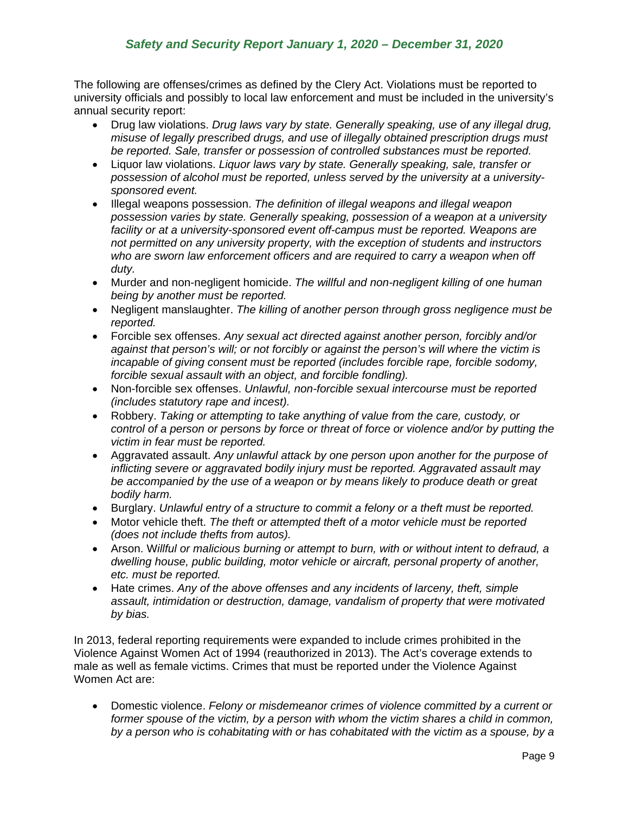The following are offenses/crimes as defined by the Clery Act. Violations must be reported to university officials and possibly to local law enforcement and must be included in the university's annual security report:

- Drug law violations. *Drug laws vary by state. Generally speaking, use of any illegal drug, misuse of legally prescribed drugs, and use of illegally obtained prescription drugs must be reported. Sale, transfer or possession of controlled substances must be reported.*
- Liquor law violations. *Liquor laws vary by state. Generally speaking, sale, transfer or possession of alcohol must be reported, unless served by the university at a universitysponsored event.*
- Illegal weapons possession. *The definition of illegal weapons and illegal weapon possession varies by state. Generally speaking, possession of a weapon at a university*  facility or at a university-sponsored event off-campus must be reported. Weapons are *not permitted on any university property, with the exception of students and instructors who are sworn law enforcement officers and are required to carry a weapon when off duty.*
- Murder and non-negligent homicide. *The willful and non-negligent killing of one human being by another must be reported.*
- Negligent manslaughter. *The killing of another person through gross negligence must be reported.*
- Forcible sex offenses. *Any sexual act directed against another person, forcibly and/or against that person's will; or not forcibly or against the person's will where the victim is incapable of giving consent must be reported (includes forcible rape, forcible sodomy, forcible sexual assault with an object, and forcible fondling).*
- Non-forcible sex offenses. *Unlawful, non-forcible sexual intercourse must be reported (includes statutory rape and incest).*
- Robbery. *Taking or attempting to take anything of value from the care, custody, or control of a person or persons by force or threat of force or violence and/or by putting the victim in fear must be reported.*
- Aggravated assault. *Any unlawful attack by one person upon another for the purpose of inflicting severe or aggravated bodily injury must be reported. Aggravated assault may be accompanied by the use of a weapon or by means likely to produce death or great bodily harm.*
- Burglary. *Unlawful entry of a structure to commit a felony or a theft must be reported.*
- Motor vehicle theft. *The theft or attempted theft of a motor vehicle must be reported (does not include thefts from autos).*
- Arson. W*illful or malicious burning or attempt to burn, with or without intent to defraud, a dwelling house, public building, motor vehicle or aircraft, personal property of another, etc. must be reported.*
- Hate crimes. *Any of the above offenses and any incidents of larceny, theft, simple assault, intimidation or destruction, damage, vandalism of property that were motivated by bias.*

In 2013, federal reporting requirements were expanded to include crimes prohibited in the Violence Against Women Act of 1994 (reauthorized in 2013). The Act's coverage extends to male as well as female victims. Crimes that must be reported under the Violence Against Women Act are:

• Domestic violence. *Felony or misdemeanor crimes of violence committed by a current or former spouse of the victim, by a person with whom the victim shares a child in common, by a person who is cohabitating with or has cohabitated with the victim as a spouse, by a*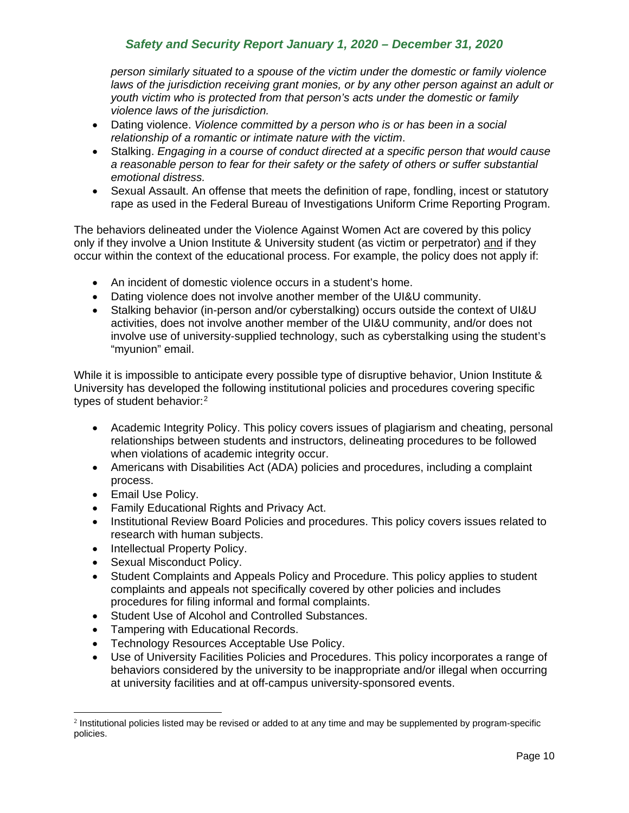*person similarly situated to a spouse of the victim under the domestic or family violence laws of the jurisdiction receiving grant monies, or by any other person against an adult or youth victim who is protected from that person's acts under the domestic or family violence laws of the jurisdiction.*

- Dating violence. *Violence committed by a person who is or has been in a social relationship of a romantic or intimate nature with the victim*.
- Stalking. *Engaging in a course of conduct directed at a specific person that would cause a reasonable person to fear for their safety or the safety of others or suffer substantial emotional distress.*
- Sexual Assault. An offense that meets the definition of rape, fondling, incest or statutory rape as used in the Federal Bureau of Investigations Uniform Crime Reporting Program.

The behaviors delineated under the Violence Against Women Act are covered by this policy only if they involve a Union Institute & University student (as victim or perpetrator) and if they occur within the context of the educational process. For example, the policy does not apply if:

- An incident of domestic violence occurs in a student's home.
- Dating violence does not involve another member of the UI&U community.
- Stalking behavior (in-person and/or cyberstalking) occurs outside the context of UI&U activities, does not involve another member of the UI&U community, and/or does not involve use of university-supplied technology, such as cyberstalking using the student's "myunion" email.

While it is impossible to anticipate every possible type of disruptive behavior, Union Institute & University has developed the following institutional policies and procedures covering specific types of student behavior:[2](#page-10-0)

- Academic Integrity Policy. This policy covers issues of plagiarism and cheating, personal relationships between students and instructors, delineating procedures to be followed when violations of academic integrity occur.
- Americans with Disabilities Act (ADA) policies and procedures, including a complaint process.
- Email Use Policy.
- Family Educational Rights and Privacy Act.
- Institutional Review Board Policies and procedures. This policy covers issues related to research with human subjects.
- Intellectual Property Policy.
- Sexual Misconduct Policy.
- Student Complaints and Appeals Policy and Procedure. This policy applies to student complaints and appeals not specifically covered by other policies and includes procedures for filing informal and formal complaints.
- Student Use of Alcohol and Controlled Substances.
- Tampering with Educational Records.
- Technology Resources Acceptable Use Policy.
- Use of University Facilities Policies and Procedures. This policy incorporates a range of behaviors considered by the university to be inappropriate and/or illegal when occurring at university facilities and at off-campus university-sponsored events.

<span id="page-10-0"></span><sup>&</sup>lt;sup>2</sup> Institutional policies listed may be revised or added to at any time and may be supplemented by program-specific policies.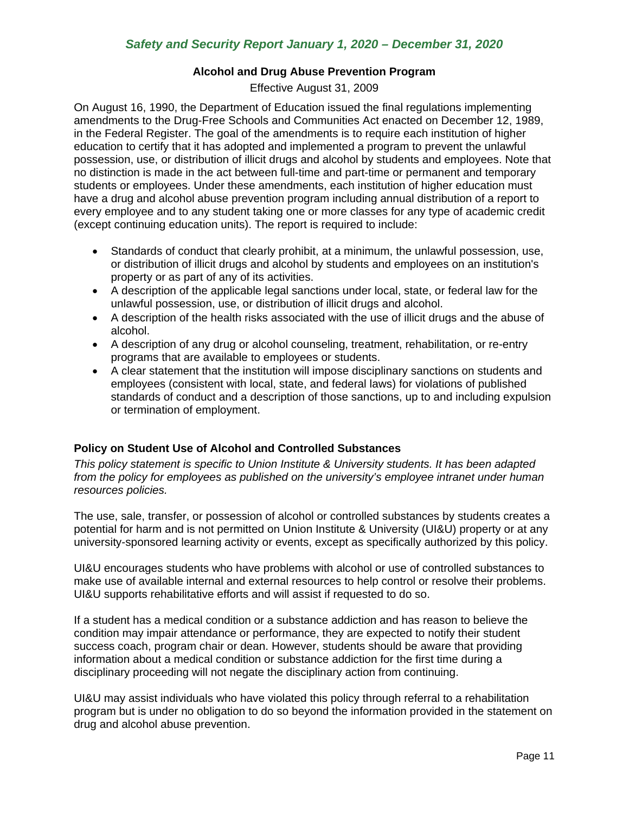### **Alcohol and Drug Abuse Prevention Program**

Effective August 31, 2009

On August 16, 1990, the Department of Education issued the final regulations implementing amendments to the Drug-Free Schools and Communities Act enacted on December 12, 1989, in the Federal Register. The goal of the amendments is to require each institution of higher education to certify that it has adopted and implemented a program to prevent the unlawful possession, use, or distribution of illicit drugs and alcohol by students and employees. Note that no distinction is made in the act between full-time and part-time or permanent and temporary students or employees. Under these amendments, each institution of higher education must have a drug and alcohol abuse prevention program including annual distribution of a report to every employee and to any student taking one or more classes for any type of academic credit (except continuing education units). The report is required to include:

- Standards of conduct that clearly prohibit, at a minimum, the unlawful possession, use, or distribution of illicit drugs and alcohol by students and employees on an institution's property or as part of any of its activities.
- A description of the applicable legal sanctions under local, state, or federal law for the unlawful possession, use, or distribution of illicit drugs and alcohol.
- A description of the health risks associated with the use of illicit drugs and the abuse of alcohol.
- A description of any drug or alcohol counseling, treatment, rehabilitation, or re-entry programs that are available to employees or students.
- A clear statement that the institution will impose disciplinary sanctions on students and employees (consistent with local, state, and federal laws) for violations of published standards of conduct and a description of those sanctions, up to and including expulsion or termination of employment.

## **Policy on Student Use of Alcohol and Controlled Substances**

*This policy statement is specific to Union Institute & University students. It has been adapted from the policy for employees as published on the university's employee intranet under human resources policies.*

The use, sale, transfer, or possession of alcohol or controlled substances by students creates a potential for harm and is not permitted on Union Institute & University (UI&U) property or at any university-sponsored learning activity or events, except as specifically authorized by this policy.

UI&U encourages students who have problems with alcohol or use of controlled substances to make use of available internal and external resources to help control or resolve their problems. UI&U supports rehabilitative efforts and will assist if requested to do so.

If a student has a medical condition or a substance addiction and has reason to believe the condition may impair attendance or performance, they are expected to notify their student success coach, program chair or dean. However, students should be aware that providing information about a medical condition or substance addiction for the first time during a disciplinary proceeding will not negate the disciplinary action from continuing.

UI&U may assist individuals who have violated this policy through referral to a rehabilitation program but is under no obligation to do so beyond the information provided in the statement on drug and alcohol abuse prevention.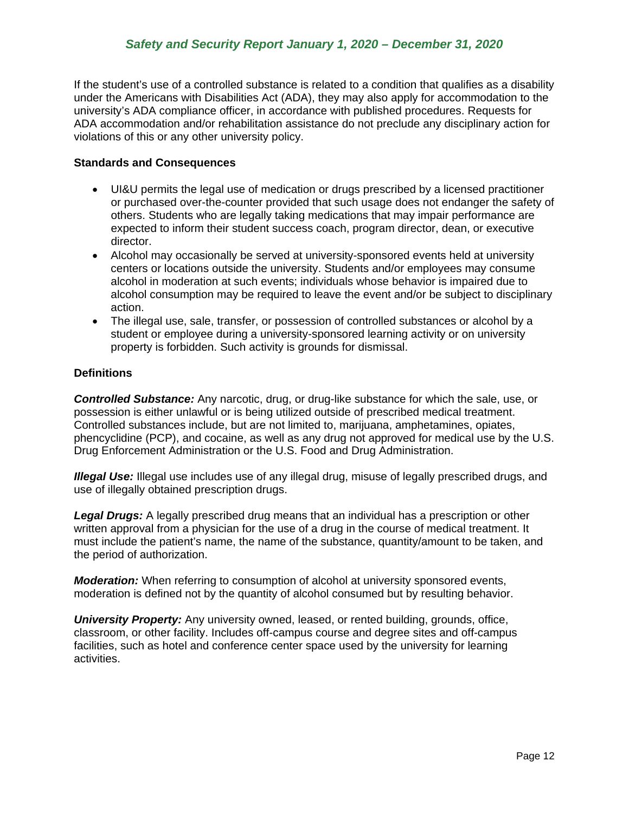If the student's use of a controlled substance is related to a condition that qualifies as a disability under the Americans with Disabilities Act (ADA), they may also apply for accommodation to the university's ADA compliance officer, in accordance with published procedures. Requests for ADA accommodation and/or rehabilitation assistance do not preclude any disciplinary action for violations of this or any other university policy.

## **Standards and Consequences**

- UI&U permits the legal use of medication or drugs prescribed by a licensed practitioner or purchased over-the-counter provided that such usage does not endanger the safety of others. Students who are legally taking medications that may impair performance are expected to inform their student success coach, program director, dean, or executive director.
- Alcohol may occasionally be served at university-sponsored events held at university centers or locations outside the university. Students and/or employees may consume alcohol in moderation at such events; individuals whose behavior is impaired due to alcohol consumption may be required to leave the event and/or be subject to disciplinary action.
- The illegal use, sale, transfer, or possession of controlled substances or alcohol by a student or employee during a university-sponsored learning activity or on university property is forbidden. Such activity is grounds for dismissal.

## **Definitions**

*Controlled Substance:* Any narcotic, drug, or drug-like substance for which the sale, use, or possession is either unlawful or is being utilized outside of prescribed medical treatment. Controlled substances include, but are not limited to, marijuana, amphetamines, opiates, phencyclidine (PCP), and cocaine, as well as any drug not approved for medical use by the U.S. Drug Enforcement Administration or the U.S. Food and Drug Administration.

**Illegal Use:** Illegal use includes use of any illegal drug, misuse of legally prescribed drugs, and use of illegally obtained prescription drugs.

*Legal Drugs:* A legally prescribed drug means that an individual has a prescription or other written approval from a physician for the use of a drug in the course of medical treatment. It must include the patient's name, the name of the substance, quantity/amount to be taken, and the period of authorization.

*Moderation:* When referring to consumption of alcohol at university sponsored events, moderation is defined not by the quantity of alcohol consumed but by resulting behavior.

<span id="page-12-0"></span>*University Property:* Any university owned, leased, or rented building, grounds, office, classroom, or other facility. Includes off-campus course and degree sites and off-campus facilities, such as hotel and conference center space used by the university for learning activities.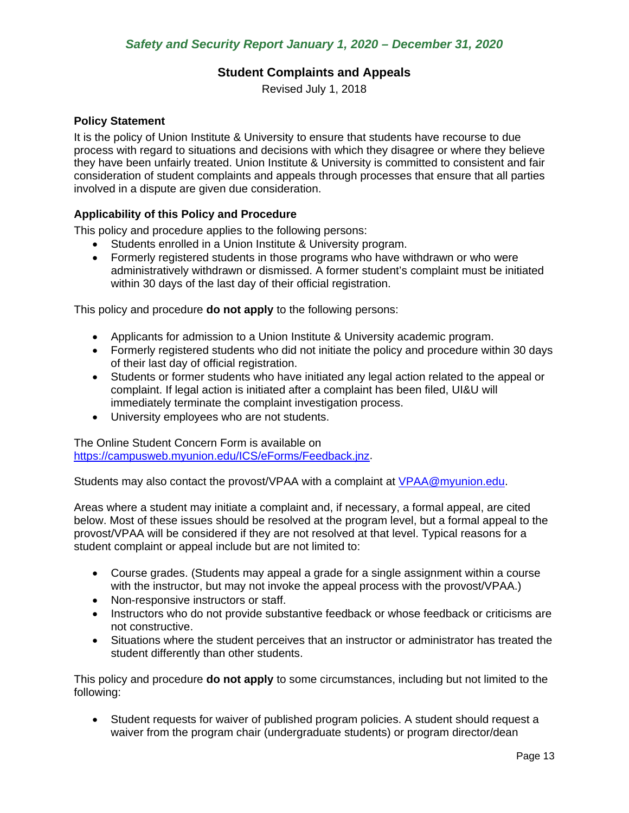## **Student Complaints and Appeals**

Revised July 1, 2018

### **Policy Statement**

It is the policy of Union Institute & University to ensure that students have recourse to due process with regard to situations and decisions with which they disagree or where they believe they have been unfairly treated. Union Institute & University is committed to consistent and fair consideration of student complaints and appeals through processes that ensure that all parties involved in a dispute are given due consideration.

## **Applicability of this Policy and Procedure**

This policy and procedure applies to the following persons:

- Students enrolled in a Union Institute & University program.
- Formerly registered students in those programs who have withdrawn or who were administratively withdrawn or dismissed. A former student's complaint must be initiated within 30 days of the last day of their official registration.

This policy and procedure **do not apply** to the following persons:

- Applicants for admission to a Union Institute & University academic program.
- Formerly registered students who did not initiate the policy and procedure within 30 days of their last day of official registration.
- Students or former students who have initiated any legal action related to the appeal or complaint. If legal action is initiated after a complaint has been filed, UI&U will immediately terminate the complaint investigation process.
- University employees who are not students.

The Online Student Concern Form is available on [https://campusweb.myunion.edu/ICS/eForms/Feedback.jnz.](https://campusweb.myunion.edu/ICS/eForms/Feedback.jnz)

Students may also contact the provost/VPAA with a complaint at [VPAA@myunion.edu.](mailto:VPAA@myunion.edu)

Areas where a student may initiate a complaint and, if necessary, a formal appeal, are cited below. Most of these issues should be resolved at the program level, but a formal appeal to the provost/VPAA will be considered if they are not resolved at that level. Typical reasons for a student complaint or appeal include but are not limited to:

- Course grades. (Students may appeal a grade for a single assignment within a course with the instructor, but may not invoke the appeal process with the provost/VPAA.)
- Non-responsive instructors or staff.
- Instructors who do not provide substantive feedback or whose feedback or criticisms are not constructive.
- Situations where the student perceives that an instructor or administrator has treated the student differently than other students.

This policy and procedure **do not apply** to some circumstances, including but not limited to the following:

• Student requests for waiver of published program policies. A student should request a waiver from the program chair (undergraduate students) or program director/dean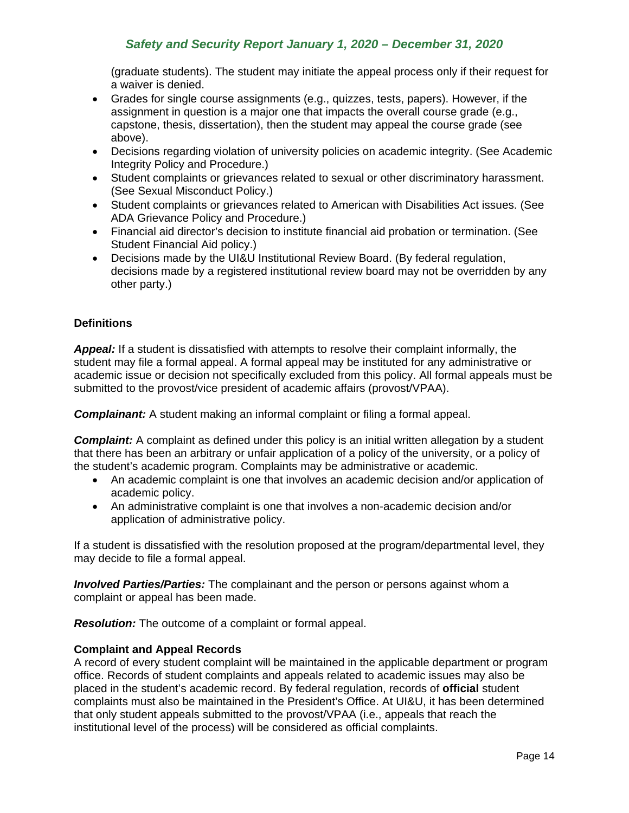(graduate students). The student may initiate the appeal process only if their request for a waiver is denied.

- Grades for single course assignments (e.g., quizzes, tests, papers). However, if the assignment in question is a major one that impacts the overall course grade (e.g., capstone, thesis, dissertation), then the student may appeal the course grade (see above).
- Decisions regarding violation of university policies on academic integrity. (See Academic Integrity Policy and Procedure.)
- Student complaints or grievances related to sexual or other discriminatory harassment. (See Sexual Misconduct Policy.)
- Student complaints or grievances related to American with Disabilities Act issues. (See ADA Grievance Policy and Procedure.)
- Financial aid director's decision to institute financial aid probation or termination. (See Student Financial Aid policy.)
- Decisions made by the UI&U Institutional Review Board. (By federal regulation, decisions made by a registered institutional review board may not be overridden by any other party.)

### **Definitions**

*Appeal:* If a student is dissatisfied with attempts to resolve their complaint informally, the student may file a formal appeal. A formal appeal may be instituted for any administrative or academic issue or decision not specifically excluded from this policy. All formal appeals must be submitted to the provost/vice president of academic affairs (provost/VPAA).

*Complainant:* A student making an informal complaint or filing a formal appeal.

**Complaint:** A complaint as defined under this policy is an initial written allegation by a student that there has been an arbitrary or unfair application of a policy of the university, or a policy of the student's academic program. Complaints may be administrative or academic.

- An academic complaint is one that involves an academic decision and/or application of academic policy.
- An administrative complaint is one that involves a non-academic decision and/or application of administrative policy.

If a student is dissatisfied with the resolution proposed at the program/departmental level, they may decide to file a formal appeal.

*Involved Parties/Parties:* The complainant and the person or persons against whom a complaint or appeal has been made.

*Resolution:* The outcome of a complaint or formal appeal.

### **Complaint and Appeal Records**

A record of every student complaint will be maintained in the applicable department or program office. Records of student complaints and appeals related to academic issues may also be placed in the student's academic record. By federal regulation, records of **official** student complaints must also be maintained in the President's Office. At UI&U, it has been determined that only student appeals submitted to the provost/VPAA (i.e., appeals that reach the institutional level of the process) will be considered as official complaints.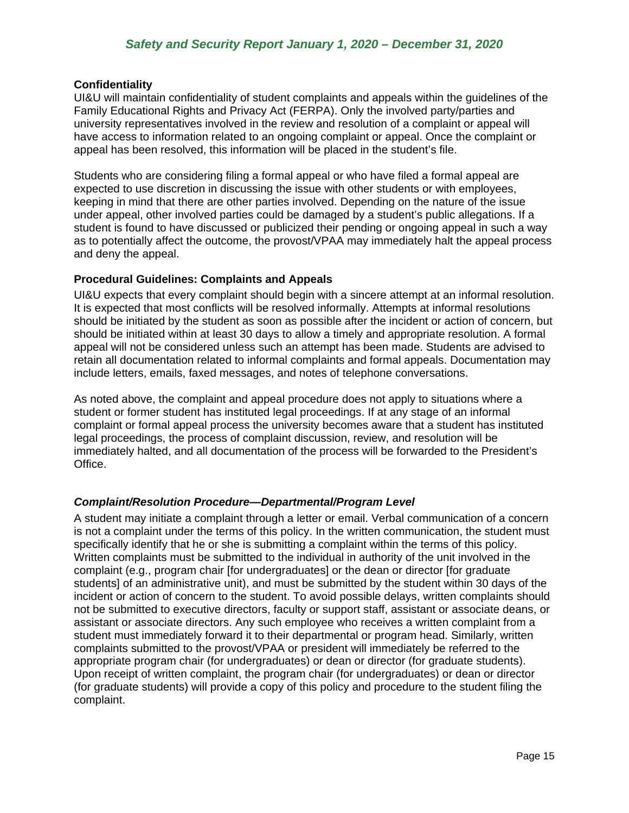### **Confidentiality**

UI&U will maintain confidentiality of student complaints and appeals within the guidelines of the Family Educational Rights and Privacy Act (FERPA). Only the involved party/parties and university representatives involved in the review and resolution of a complaint or appeal will have access to information related to an ongoing complaint or appeal. Once the complaint or appeal has been resolved, this information will be placed in the student's file.

Students who are considering filing a formal appeal or who have filed a formal appeal are expected to use discretion in discussing the issue with other students or with employees, keeping in mind that there are other parties involved. Depending on the nature of the issue under appeal, other involved parties could be damaged by a student's public allegations. If a student is found to have discussed or publicized their pending or ongoing appeal in such a way as to potentially affect the outcome, the provost/VPAA may immediately halt the appeal process and deny the appeal.

### **Procedural Guidelines: Complaints and Appeals**

UI&U expects that every complaint should begin with a sincere attempt at an informal resolution. It is expected that most conflicts will be resolved informally. Attempts at informal resolutions should be initiated by the student as soon as possible after the incident or action of concern, but should be initiated within at least 30 days to allow a timely and appropriate resolution. A formal appeal will not be considered unless such an attempt has been made. Students are advised to retain all documentation related to informal complaints and formal appeals. Documentation may include letters, emails, faxed messages, and notes of telephone conversations.

As noted above, the complaint and appeal procedure does not apply to situations where a student or former student has instituted legal proceedings. If at any stage of an informal complaint or formal appeal process the university becomes aware that a student has instituted legal proceedings, the process of complaint discussion, review, and resolution will be immediately halted, and all documentation of the process will be forwarded to the President's Office.

### <span id="page-15-0"></span>*Complaint/Resolution Procedure—Departmental/Program Level*

A student may initiate a complaint through a letter or email. Verbal communication of a concern is not a complaint under the terms of this policy. In the written communication, the student must specifically identify that he or she is submitting a complaint within the terms of this policy. Written complaints must be submitted to the individual in authority of the unit involved in the complaint (e.g., program chair [for undergraduates] or the dean or director [for graduate students] of an administrative unit), and must be submitted by the student within 30 days of the incident or action of concern to the student. To avoid possible delays, written complaints should not be submitted to executive directors, faculty or support staff, assistant or associate deans, or assistant or associate directors. Any such employee who receives a written complaint from a student must immediately forward it to their departmental or program head. Similarly, written complaints submitted to the provost/VPAA or president will immediately be referred to the appropriate program chair (for undergraduates) or dean or director (for graduate students). Upon receipt of written complaint, the program chair (for undergraduates) or dean or director (for graduate students) will provide a copy of this policy and procedure to the student filing the complaint.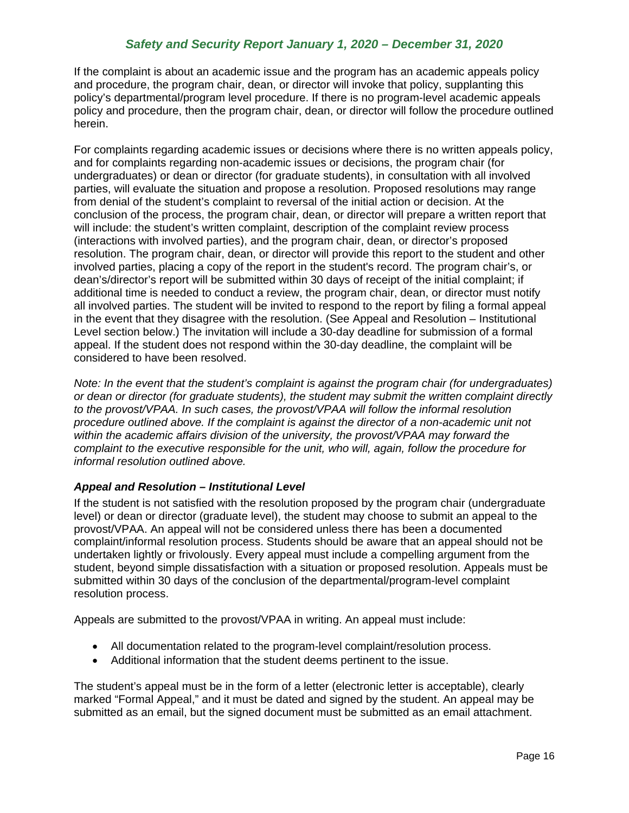If the complaint is about an academic issue and the program has an academic appeals policy and procedure, the program chair, dean, or director will invoke that policy, supplanting this policy's departmental/program level procedure. If there is no program-level academic appeals policy and procedure, then the program chair, dean, or director will follow the procedure outlined herein.

For complaints regarding academic issues or decisions where there is no written appeals policy, and for complaints regarding non-academic issues or decisions, the program chair (for undergraduates) or dean or director (for graduate students), in consultation with all involved parties, will evaluate the situation and propose a resolution. Proposed resolutions may range from denial of the student's complaint to reversal of the initial action or decision. At the conclusion of the process, the program chair, dean, or director will prepare a written report that will include: the student's written complaint, description of the complaint review process (interactions with involved parties), and the program chair, dean, or director's proposed resolution. The program chair, dean, or director will provide this report to the student and other involved parties, placing a copy of the report in the student's record. The program chair's, or dean's/director's report will be submitted within 30 days of receipt of the initial complaint; if additional time is needed to conduct a review, the program chair, dean, or director must notify all involved parties. The student will be invited to respond to the report by filing a formal appeal in the event that they disagree with the resolution. (See Appeal and Resolution – Institutional Level section below.) The invitation will include a 30-day deadline for submission of a formal appeal. If the student does not respond within the 30-day deadline, the complaint will be considered to have been resolved.

*Note: In the event that the student's complaint is against the program chair (for undergraduates) or dean or director (for graduate students), the student may submit the written complaint directly to the provost/VPAA. In such cases, the provost/VPAA will follow the informal resolution procedure outlined above. If the complaint is against the director of a non-academic unit not within the academic affairs division of the university, the provost/VPAA may forward the complaint to the executive responsible for the unit, who will, again, follow the procedure for informal resolution outlined above.* 

## <span id="page-16-0"></span>*Appeal and Resolution – Institutional Level*

If the student is not satisfied with the resolution proposed by the program chair (undergraduate level) or dean or director (graduate level), the student may choose to submit an appeal to the provost/VPAA. An appeal will not be considered unless there has been a documented complaint/informal resolution process. Students should be aware that an appeal should not be undertaken lightly or frivolously. Every appeal must include a compelling argument from the student, beyond simple dissatisfaction with a situation or proposed resolution. Appeals must be submitted within 30 days of the conclusion of the departmental/program-level complaint resolution process.

Appeals are submitted to the provost/VPAA in writing. An appeal must include:

- All documentation related to the program-level complaint/resolution process.
- Additional information that the student deems pertinent to the issue.

The student's appeal must be in the form of a letter (electronic letter is acceptable), clearly marked "Formal Appeal," and it must be dated and signed by the student. An appeal may be submitted as an email, but the signed document must be submitted as an email attachment.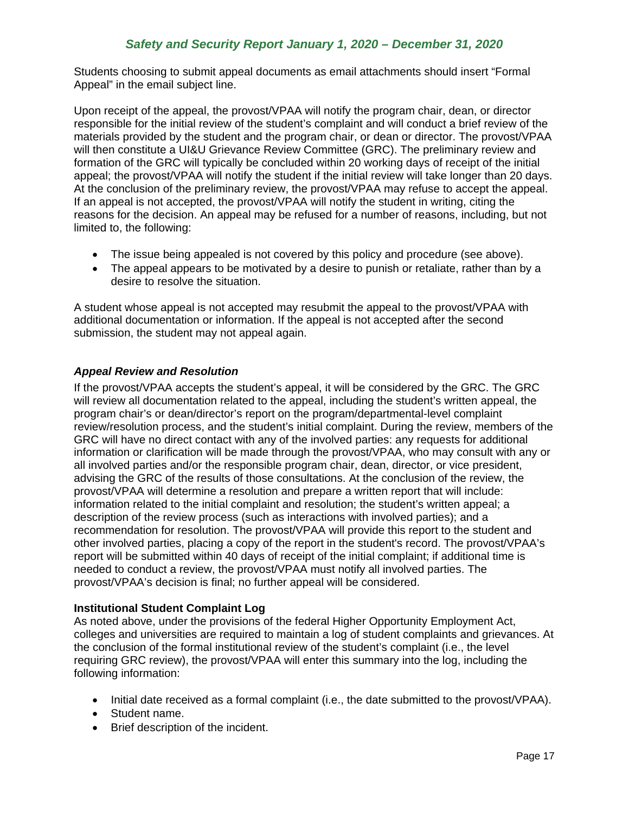Students choosing to submit appeal documents as email attachments should insert "Formal Appeal" in the email subject line.

Upon receipt of the appeal, the provost/VPAA will notify the program chair, dean, or director responsible for the initial review of the student's complaint and will conduct a brief review of the materials provided by the student and the program chair, or dean or director. The provost/VPAA will then constitute a UI&U Grievance Review Committee (GRC). The preliminary review and formation of the GRC will typically be concluded within 20 working days of receipt of the initial appeal; the provost/VPAA will notify the student if the initial review will take longer than 20 days. At the conclusion of the preliminary review, the provost/VPAA may refuse to accept the appeal. If an appeal is not accepted, the provost/VPAA will notify the student in writing, citing the reasons for the decision. An appeal may be refused for a number of reasons, including, but not limited to, the following:

- The issue being appealed is not covered by this policy and procedure (see above).
- The appeal appears to be motivated by a desire to punish or retaliate, rather than by a desire to resolve the situation.

A student whose appeal is not accepted may resubmit the appeal to the provost/VPAA with additional documentation or information. If the appeal is not accepted after the second submission, the student may not appeal again.

## <span id="page-17-0"></span>*Appeal Review and Resolution*

If the provost/VPAA accepts the student's appeal, it will be considered by the GRC. The GRC will review all documentation related to the appeal, including the student's written appeal, the program chair's or dean/director's report on the program/departmental-level complaint review/resolution process, and the student's initial complaint. During the review, members of the GRC will have no direct contact with any of the involved parties: any requests for additional information or clarification will be made through the provost/VPAA, who may consult with any or all involved parties and/or the responsible program chair, dean, director, or vice president, advising the GRC of the results of those consultations. At the conclusion of the review, the provost/VPAA will determine a resolution and prepare a written report that will include: information related to the initial complaint and resolution; the student's written appeal; a description of the review process (such as interactions with involved parties); and a recommendation for resolution. The provost/VPAA will provide this report to the student and other involved parties, placing a copy of the report in the student's record. The provost/VPAA's report will be submitted within 40 days of receipt of the initial complaint; if additional time is needed to conduct a review, the provost/VPAA must notify all involved parties. The provost/VPAA's decision is final; no further appeal will be considered.

## **Institutional Student Complaint Log**

As noted above, under the provisions of the federal Higher Opportunity Employment Act, colleges and universities are required to maintain a log of student complaints and grievances. At the conclusion of the formal institutional review of the student's complaint (i.e., the level requiring GRC review), the provost/VPAA will enter this summary into the log, including the following information:

- Initial date received as a formal complaint (i.e., the date submitted to the provost/VPAA).
- Student name.
- Brief description of the incident.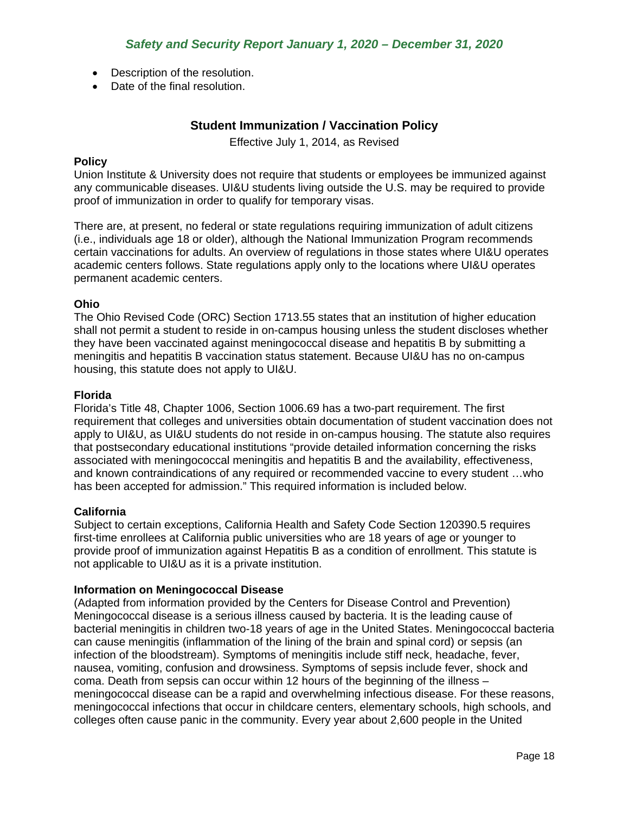- Description of the resolution.
- <span id="page-18-0"></span>• Date of the final resolution.

## **Student Immunization / Vaccination Policy**

Effective July 1, 2014, as Revised

### **Policy**

Union Institute & University does not require that students or employees be immunized against any communicable diseases. UI&U students living outside the U.S. may be required to provide proof of immunization in order to qualify for temporary visas.

There are, at present, no federal or state regulations requiring immunization of adult citizens (i.e., individuals age 18 or older), although the National Immunization Program recommends certain vaccinations for adults. An overview of regulations in those states where UI&U operates academic centers follows. State regulations apply only to the locations where UI&U operates permanent academic centers.

### **Ohio**

The Ohio Revised Code (ORC) Section 1713.55 states that an institution of higher education shall not permit a student to reside in on-campus housing unless the student discloses whether they have been vaccinated against meningococcal disease and hepatitis B by submitting a meningitis and hepatitis B vaccination status statement. Because UI&U has no on-campus housing, this statute does not apply to UI&U.

### **Florida**

Florida's Title 48, Chapter 1006, Section 1006.69 has a two-part requirement. The first requirement that colleges and universities obtain documentation of student vaccination does not apply to UI&U, as UI&U students do not reside in on-campus housing. The statute also requires that postsecondary educational institutions "provide detailed information concerning the risks associated with meningococcal meningitis and hepatitis B and the availability, effectiveness, and known contraindications of any required or recommended vaccine to every student …who has been accepted for admission." This required information is included below.

### **California**

Subject to certain exceptions, California Health and Safety Code Section 120390.5 requires first-time enrollees at California public universities who are 18 years of age or younger to provide proof of immunization against Hepatitis B as a condition of enrollment. This statute is not applicable to UI&U as it is a private institution.

### **Information on Meningococcal Disease**

(Adapted from information provided by the Centers for Disease Control and Prevention) Meningococcal disease is a serious illness caused by bacteria. It is the leading cause of bacterial meningitis in children two-18 years of age in the United States. Meningococcal bacteria can cause meningitis (inflammation of the lining of the brain and spinal cord) or sepsis (an infection of the bloodstream). Symptoms of meningitis include stiff neck, headache, fever, nausea, vomiting, confusion and drowsiness. Symptoms of sepsis include fever, shock and coma. Death from sepsis can occur within 12 hours of the beginning of the illness – meningococcal disease can be a rapid and overwhelming infectious disease. For these reasons, meningococcal infections that occur in childcare centers, elementary schools, high schools, and colleges often cause panic in the community. Every year about 2,600 people in the United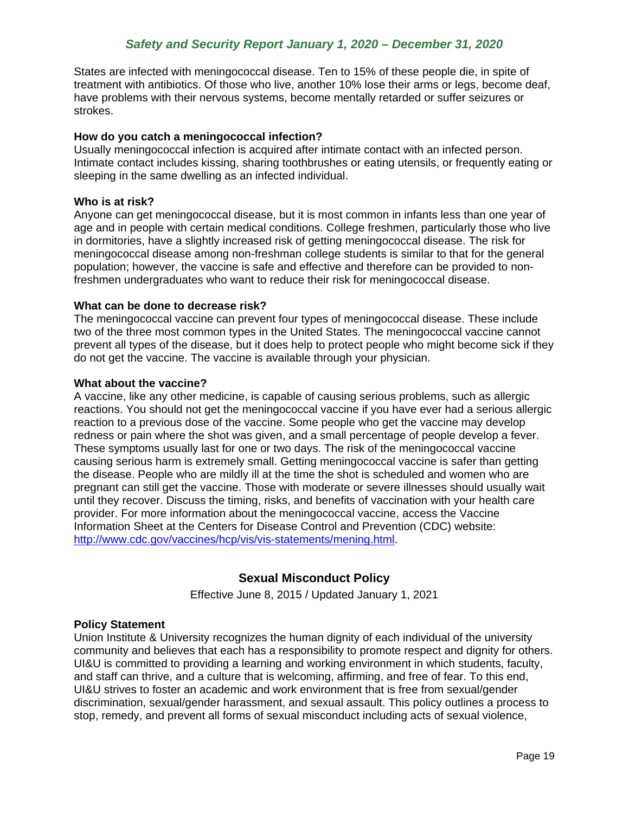States are infected with meningococcal disease. Ten to 15% of these people die, in spite of treatment with antibiotics. Of those who live, another 10% lose their arms or legs, become deaf, have problems with their nervous systems, become mentally retarded or suffer seizures or strokes.

### **How do you catch a meningococcal infection?**

Usually meningococcal infection is acquired after intimate contact with an infected person. Intimate contact includes kissing, sharing toothbrushes or eating utensils, or frequently eating or sleeping in the same dwelling as an infected individual.

### **Who is at risk?**

Anyone can get meningococcal disease, but it is most common in infants less than one year of age and in people with certain medical conditions. College freshmen, particularly those who live in dormitories, have a slightly increased risk of getting meningococcal disease. The risk for meningococcal disease among non-freshman college students is similar to that for the general population; however, the vaccine is safe and effective and therefore can be provided to nonfreshmen undergraduates who want to reduce their risk for meningococcal disease.

### **What can be done to decrease risk?**

The meningococcal vaccine can prevent four types of meningococcal disease. These include two of the three most common types in the United States. The meningococcal vaccine cannot prevent all types of the disease, but it does help to protect people who might become sick if they do not get the vaccine. The vaccine is available through your physician.

### **What about the vaccine?**

A vaccine, like any other medicine, is capable of causing serious problems, such as allergic reactions. You should not get the meningococcal vaccine if you have ever had a serious allergic reaction to a previous dose of the vaccine. Some people who get the vaccine may develop redness or pain where the shot was given, and a small percentage of people develop a fever. These symptoms usually last for one or two days. The risk of the meningococcal vaccine causing serious harm is extremely small. Getting meningococcal vaccine is safer than getting the disease. People who are mildly ill at the time the shot is scheduled and women who are pregnant can still get the vaccine. Those with moderate or severe illnesses should usually wait until they recover. Discuss the timing, risks, and benefits of vaccination with your health care provider. For more information about the meningococcal vaccine, access the Vaccine Information Sheet at the Centers for Disease Control and Prevention (CDC) website: [http://www.cdc.gov/vaccines/hcp/vis/vis-statements/mening.html.](http://www.cdc.gov/vaccines/hcp/vis/vis-statements/mening.html)

## **Sexual Misconduct Policy**

Effective June 8, 2015 / Updated January 1, 2021

### <span id="page-19-0"></span>**Policy Statement**

Union Institute & University recognizes the human dignity of each individual of the university community and believes that each has a responsibility to promote respect and dignity for others. UI&U is committed to providing a learning and working environment in which students, faculty, and staff can thrive, and a culture that is welcoming, affirming, and free of fear. To this end, UI&U strives to foster an academic and work environment that is free from sexual/gender discrimination, sexual/gender harassment, and sexual assault. This policy outlines a process to stop, remedy, and prevent all forms of sexual misconduct including acts of sexual violence,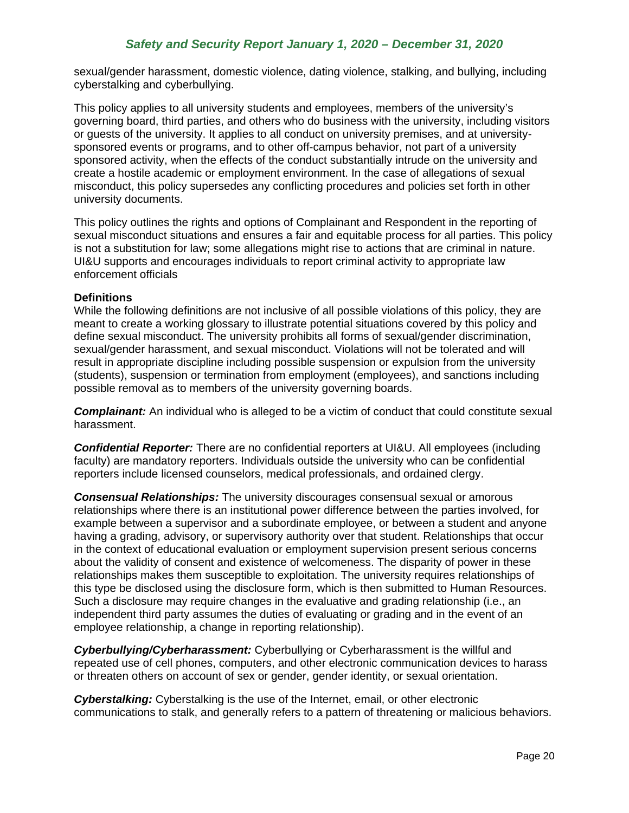sexual/gender harassment, domestic violence, dating violence, stalking, and bullying, including cyberstalking and cyberbullying.

This policy applies to all university students and employees, members of the university's governing board, third parties, and others who do business with the university, including visitors or guests of the university. It applies to all conduct on university premises, and at universitysponsored events or programs, and to other off-campus behavior, not part of a university sponsored activity, when the effects of the conduct substantially intrude on the university and create a hostile academic or employment environment. In the case of allegations of sexual misconduct, this policy supersedes any conflicting procedures and policies set forth in other university documents.

This policy outlines the rights and options of Complainant and Respondent in the reporting of sexual misconduct situations and ensures a fair and equitable process for all parties. This policy is not a substitution for law; some allegations might rise to actions that are criminal in nature. UI&U supports and encourages individuals to report criminal activity to appropriate law enforcement officials

### **Definitions**

While the following definitions are not inclusive of all possible violations of this policy, they are meant to create a working glossary to illustrate potential situations covered by this policy and define sexual misconduct. The university prohibits all forms of sexual/gender discrimination, sexual/gender harassment, and sexual misconduct. Violations will not be tolerated and will result in appropriate discipline including possible suspension or expulsion from the university (students), suspension or termination from employment (employees), and sanctions including possible removal as to members of the university governing boards.

**Complainant:** An individual who is alleged to be a victim of conduct that could constitute sexual harassment.

*Confidential Reporter:* There are no confidential reporters at UI&U. All employees (including faculty) are mandatory reporters. Individuals outside the university who can be confidential reporters include licensed counselors, medical professionals, and ordained clergy.

*Consensual Relationships:* The university discourages consensual sexual or amorous relationships where there is an institutional power difference between the parties involved, for example between a supervisor and a subordinate employee, or between a student and anyone having a grading, advisory, or supervisory authority over that student. Relationships that occur in the context of educational evaluation or employment supervision present serious concerns about the validity of consent and existence of welcomeness. The disparity of power in these relationships makes them susceptible to exploitation. The university requires relationships of this type be disclosed using the disclosure form, which is then submitted to Human Resources. Such a disclosure may require changes in the evaluative and grading relationship (i.e., an independent third party assumes the duties of evaluating or grading and in the event of an employee relationship, a change in reporting relationship).

*Cyberbullying/Cyberharassment:* Cyberbullying or Cyberharassment is the willful and repeated use of cell phones, computers, and other electronic communication devices to harass or threaten others on account of sex or gender, gender identity, or sexual orientation.

*Cyberstalking:* Cyberstalking is the use of the Internet, email, or other electronic communications to stalk, and generally refers to a pattern of threatening or malicious behaviors.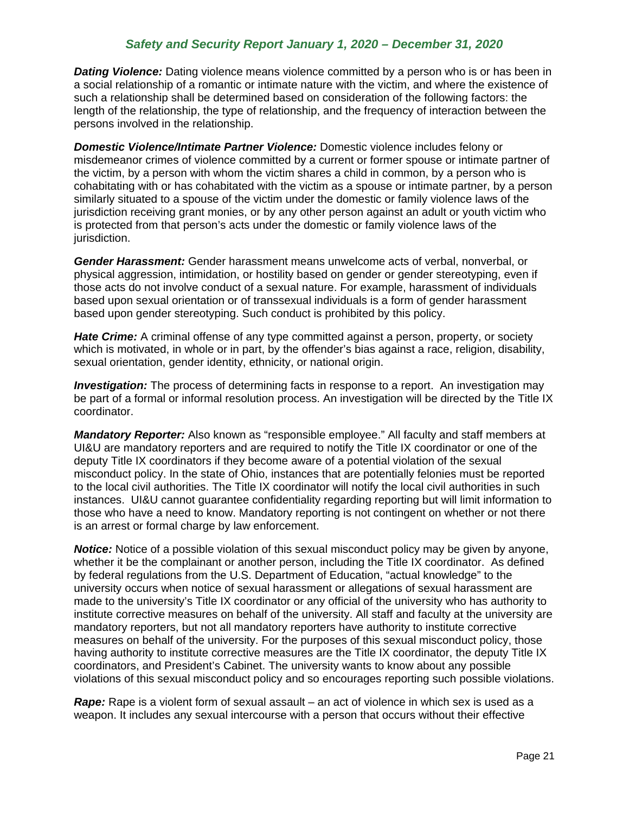**Dating Violence:** Dating violence means violence committed by a person who is or has been in a social relationship of a romantic or intimate nature with the victim, and where the existence of such a relationship shall be determined based on consideration of the following factors: the length of the relationship, the type of relationship, and the frequency of interaction between the persons involved in the relationship.

*Domestic Violence/Intimate Partner Violence:* Domestic violence includes felony or misdemeanor crimes of violence committed by a current or former spouse or intimate partner of the victim, by a person with whom the victim shares a child in common, by a person who is cohabitating with or has cohabitated with the victim as a spouse or intimate partner, by a person similarly situated to a spouse of the victim under the domestic or family violence laws of the jurisdiction receiving grant monies, or by any other person against an adult or youth victim who is protected from that person's acts under the domestic or family violence laws of the iurisdiction.

*Gender Harassment:* Gender harassment means unwelcome acts of verbal, nonverbal, or physical aggression, intimidation, or hostility based on gender or gender stereotyping, even if those acts do not involve conduct of a sexual nature. For example, harassment of individuals based upon sexual orientation or of transsexual individuals is a form of gender harassment based upon gender stereotyping. Such conduct is prohibited by this policy.

*Hate Crime:* A criminal offense of any type committed against a person, property, or society which is motivated, in whole or in part, by the offender's bias against a race, religion, disability, sexual orientation, gender identity, ethnicity, or national origin.

*Investigation:* The process of determining facts in response to a report. An investigation may be part of a formal or informal resolution process. An investigation will be directed by the Title IX coordinator.

*Mandatory Reporter:* Also known as "responsible employee." All faculty and staff members at UI&U are mandatory reporters and are required to notify the Title IX coordinator or one of the deputy Title IX coordinators if they become aware of a potential violation of the sexual misconduct policy. In the state of Ohio, instances that are potentially felonies must be reported to the local civil authorities. The Title IX coordinator will notify the local civil authorities in such instances. UI&U cannot guarantee confidentiality regarding reporting but will limit information to those who have a need to know. Mandatory reporting is not contingent on whether or not there is an arrest or formal charge by law enforcement.

*Notice:* Notice of a possible violation of this sexual misconduct policy may be given by anyone, whether it be the complainant or another person, including the Title IX coordinator.As defined by federal regulations from the U.S. Department of Education, "actual knowledge" to the university occurs when notice of sexual harassment or allegations of sexual harassment are made to the university's Title IX coordinator or any official of the university who has authority to institute corrective measures on behalf of the university. All staff and faculty at the university are mandatory reporters, but not all mandatory reporters have authority to institute corrective measures on behalf of the university. For the purposes of this sexual misconduct policy, those having authority to institute corrective measures are the Title IX coordinator, the deputy Title IX coordinators, and President's Cabinet. The university wants to know about any possible violations of this sexual misconduct policy and so encourages reporting such possible violations.

*Rape:* Rape is a violent form of sexual assault – an act of violence in which sex is used as a weapon. It includes any sexual intercourse with a person that occurs without their effective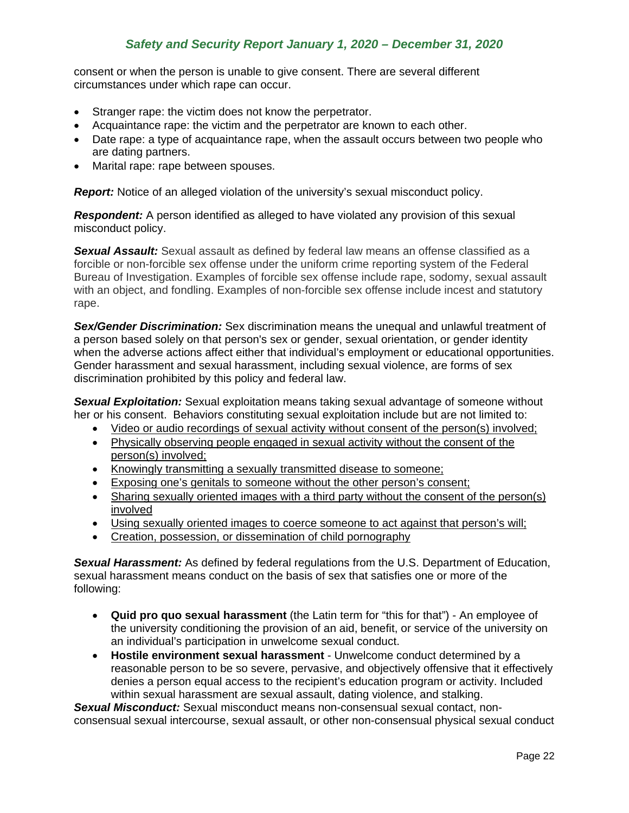consent or when the person is unable to give consent. There are several different circumstances under which rape can occur.

- Stranger rape: the victim does not know the perpetrator.
- Acquaintance rape: the victim and the perpetrator are known to each other.
- Date rape: a type of acquaintance rape, when the assault occurs between two people who are dating partners.
- Marital rape: rape between spouses.

**Report:** Notice of an alleged violation of the university's sexual misconduct policy.

**Respondent:** A person identified as alleged to have violated any provision of this sexual misconduct policy.

*Sexual Assault:* Sexual assault as defined by federal law means an offense classified as a forcible or non-forcible sex offense under the uniform crime reporting system of the Federal Bureau of Investigation. Examples of forcible sex offense include rape, sodomy, sexual assault with an object, and fondling. Examples of non-forcible sex offense include incest and statutory rape.

*Sex/Gender Discrimination:* Sex discrimination means the unequal and unlawful treatment of a person based solely on that person's sex or gender, sexual orientation, or gender identity when the adverse actions affect either that individual's employment or educational opportunities. Gender harassment and sexual harassment, including sexual violence, are forms of sex discrimination prohibited by this policy and federal law.

*Sexual Exploitation:* Sexual exploitation means taking sexual advantage of someone without her or his consent. Behaviors constituting sexual exploitation include but are not limited to:

- Video or audio recordings of sexual activity without consent of the person(s) involved;
- Physically observing people engaged in sexual activity without the consent of the person(s) involved;
- Knowingly transmitting a sexually transmitted disease to someone;
- Exposing one's genitals to someone without the other person's consent;
- Sharing sexually oriented images with a third party without the consent of the person(s) involved
- Using sexually oriented images to coerce someone to act against that person's will;
- Creation, possession, or dissemination of child pornography

*Sexual Harassment:* As defined by federal regulations from the U.S. Department of Education, sexual harassment means conduct on the basis of sex that satisfies one or more of the following:

- **Quid pro quo sexual harassment** (the Latin term for "this for that") An employee of the university conditioning the provision of an aid, benefit, or service of the university on an individual's participation in unwelcome sexual conduct.
- **Hostile environment sexual harassment** Unwelcome conduct determined by a reasonable person to be so severe, pervasive, and objectively offensive that it effectively denies a person equal access to the recipient's education program or activity. Included within sexual harassment are sexual assault, dating violence, and stalking.

*Sexual Misconduct:* Sexual misconduct means non-consensual sexual contact, nonconsensual sexual intercourse, sexual assault, or other non-consensual physical sexual conduct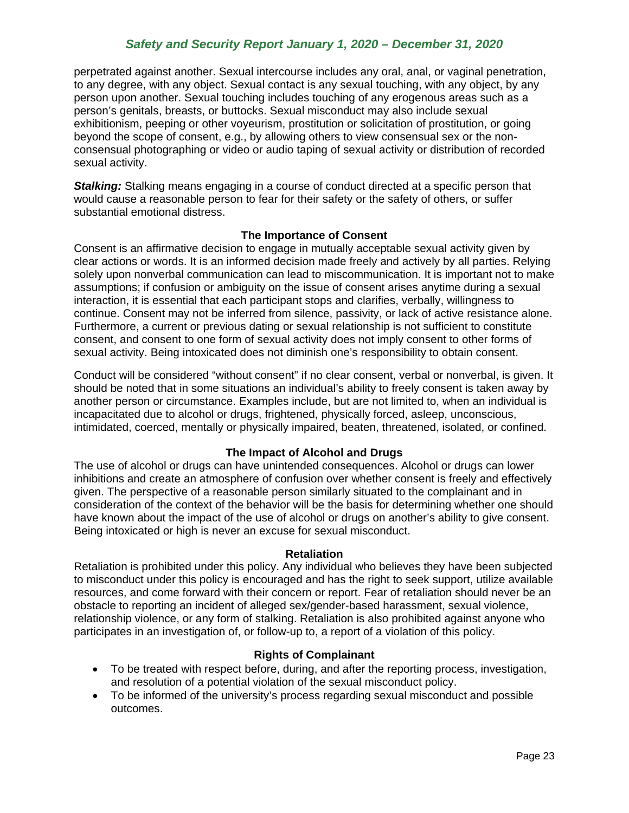perpetrated against another. Sexual intercourse includes any oral, anal, or vaginal penetration, to any degree, with any object. Sexual contact is any sexual touching, with any object, by any person upon another. Sexual touching includes touching of any erogenous areas such as a person's genitals, breasts, or buttocks. Sexual misconduct may also include sexual exhibitionism, peeping or other voyeurism, prostitution or solicitation of prostitution, or going beyond the scope of consent, e.g., by allowing others to view consensual sex or the nonconsensual photographing or video or audio taping of sexual activity or distribution of recorded sexual activity.

**Stalking:** Stalking means engaging in a course of conduct directed at a specific person that would cause a reasonable person to fear for their safety or the safety of others, or suffer substantial emotional distress.

### **The Importance of Consent**

Consent is an affirmative decision to engage in mutually acceptable sexual activity given by clear actions or words. It is an informed decision made freely and actively by all parties. Relying solely upon nonverbal communication can lead to miscommunication. It is important not to make assumptions; if confusion or ambiguity on the issue of consent arises anytime during a sexual interaction, it is essential that each participant stops and clarifies, verbally, willingness to continue. Consent may not be inferred from silence, passivity, or lack of active resistance alone. Furthermore, a current or previous dating or sexual relationship is not sufficient to constitute consent, and consent to one form of sexual activity does not imply consent to other forms of sexual activity. Being intoxicated does not diminish one's responsibility to obtain consent.

Conduct will be considered "without consent" if no clear consent, verbal or nonverbal, is given. It should be noted that in some situations an individual's ability to freely consent is taken away by another person or circumstance. Examples include, but are not limited to, when an individual is incapacitated due to alcohol or drugs, frightened, physically forced, asleep, unconscious, intimidated, coerced, mentally or physically impaired, beaten, threatened, isolated, or confined.

### **The Impact of Alcohol and Drugs**

The use of alcohol or drugs can have unintended consequences. Alcohol or drugs can lower inhibitions and create an atmosphere of confusion over whether consent is freely and effectively given. The perspective of a reasonable person similarly situated to the complainant and in consideration of the context of the behavior will be the basis for determining whether one should have known about the impact of the use of alcohol or drugs on another's ability to give consent. Being intoxicated or high is never an excuse for sexual misconduct.

#### **Retaliation**

Retaliation is prohibited under this policy. Any individual who believes they have been subjected to misconduct under this policy is encouraged and has the right to seek support, utilize available resources, and come forward with their concern or report. Fear of retaliation should never be an obstacle to reporting an incident of alleged sex/gender-based harassment, sexual violence, relationship violence, or any form of stalking. Retaliation is also prohibited against anyone who participates in an investigation of, or follow-up to, a report of a violation of this policy.

### **Rights of Complainant**

- To be treated with respect before, during, and after the reporting process, investigation, and resolution of a potential violation of the sexual misconduct policy.
- To be informed of the university's process regarding sexual misconduct and possible outcomes.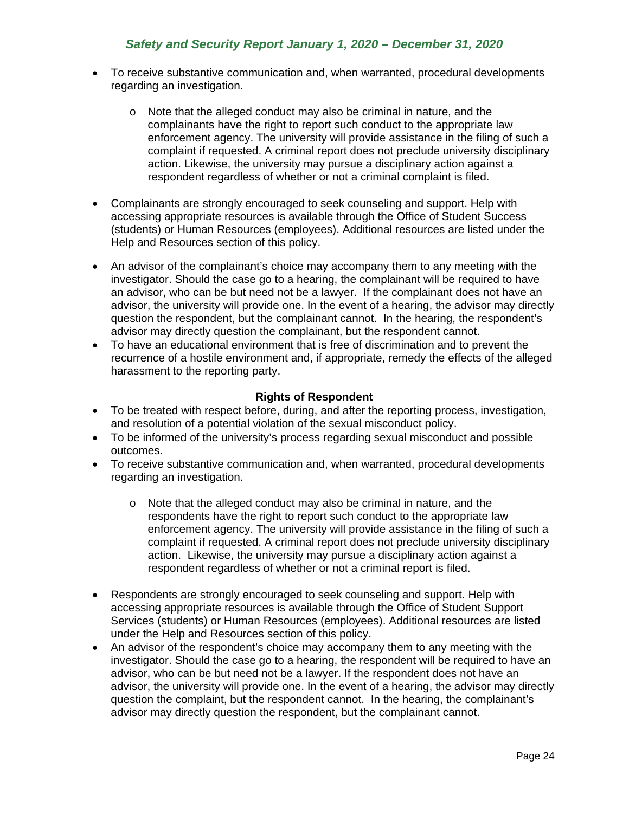- To receive substantive communication and, when warranted, procedural developments regarding an investigation.
	- o Note that the alleged conduct may also be criminal in nature, and the complainants have the right to report such conduct to the appropriate law enforcement agency. The university will provide assistance in the filing of such a complaint if requested. A criminal report does not preclude university disciplinary action. Likewise, the university may pursue a disciplinary action against a respondent regardless of whether or not a criminal complaint is filed.
- Complainants are strongly encouraged to seek counseling and support. Help with accessing appropriate resources is available through the Office of Student Success (students) or Human Resources (employees). Additional resources are listed under the Help and Resources section of this policy.
- An advisor of the complainant's choice may accompany them to any meeting with the investigator. Should the case go to a hearing, the complainant will be required to have an advisor, who can be but need not be a lawyer. If the complainant does not have an advisor, the university will provide one. In the event of a hearing, the advisor may directly question the respondent, but the complainant cannot. In the hearing, the respondent's advisor may directly question the complainant, but the respondent cannot.
- To have an educational environment that is free of discrimination and to prevent the recurrence of a hostile environment and, if appropriate, remedy the effects of the alleged harassment to the reporting party.

### **Rights of Respondent**

- To be treated with respect before, during, and after the reporting process, investigation, and resolution of a potential violation of the sexual misconduct policy.
- To be informed of the university's process regarding sexual misconduct and possible outcomes.
- To receive substantive communication and, when warranted, procedural developments regarding an investigation.
	- o Note that the alleged conduct may also be criminal in nature, and the respondents have the right to report such conduct to the appropriate law enforcement agency. The university will provide assistance in the filing of such a complaint if requested. A criminal report does not preclude university disciplinary action. Likewise, the university may pursue a disciplinary action against a respondent regardless of whether or not a criminal report is filed.
- Respondents are strongly encouraged to seek counseling and support. Help with accessing appropriate resources is available through the Office of Student Support Services (students) or Human Resources (employees). Additional resources are listed under the Help and Resources section of this policy.
- An advisor of the respondent's choice may accompany them to any meeting with the investigator. Should the case go to a hearing, the respondent will be required to have an advisor, who can be but need not be a lawyer. If the respondent does not have an advisor, the university will provide one. In the event of a hearing, the advisor may directly question the complaint, but the respondent cannot. In the hearing, the complainant's advisor may directly question the respondent, but the complainant cannot.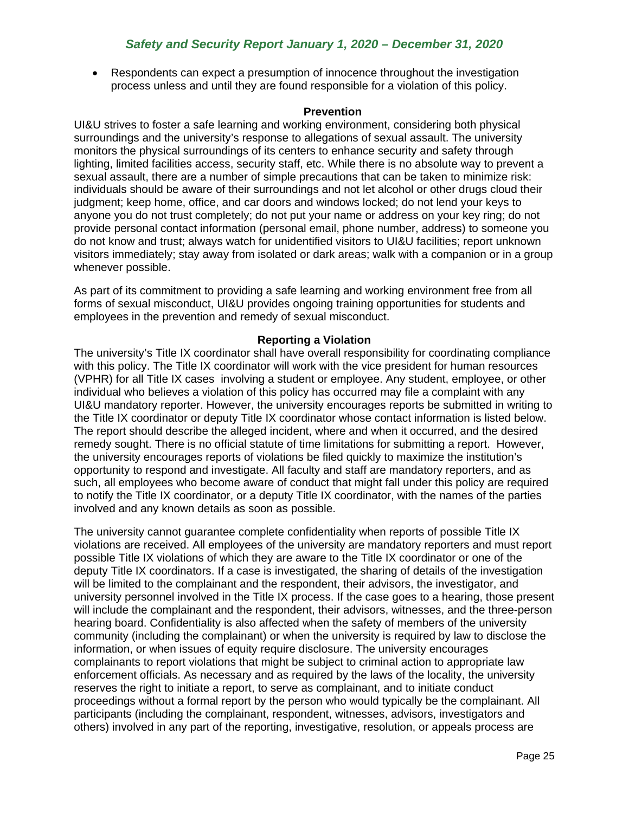• Respondents can expect a presumption of innocence throughout the investigation process unless and until they are found responsible for a violation of this policy.

### **Prevention**

UI&U strives to foster a safe learning and working environment, considering both physical surroundings and the university's response to allegations of sexual assault. The university monitors the physical surroundings of its centers to enhance security and safety through lighting, limited facilities access, security staff, etc. While there is no absolute way to prevent a sexual assault, there are a number of simple precautions that can be taken to minimize risk: individuals should be aware of their surroundings and not let alcohol or other drugs cloud their judgment; keep home, office, and car doors and windows locked; do not lend your keys to anyone you do not trust completely; do not put your name or address on your key ring; do not provide personal contact information (personal email, phone number, address) to someone you do not know and trust; always watch for unidentified visitors to UI&U facilities; report unknown visitors immediately; stay away from isolated or dark areas; walk with a companion or in a group whenever possible.

As part of its commitment to providing a safe learning and working environment free from all forms of sexual misconduct, UI&U provides ongoing training opportunities for students and employees in the prevention and remedy of sexual misconduct.

### **Reporting a Violation**

The university's Title IX coordinator shall have overall responsibility for coordinating compliance with this policy. The Title IX coordinator will work with the vice president for human resources (VPHR) for all Title IX cases involving a student or employee. Any student, employee, or other individual who believes a violation of this policy has occurred may file a complaint with any UI&U mandatory reporter. However, the university encourages reports be submitted in writing to the Title IX coordinator or deputy Title IX coordinator whose contact information is listed below. The report should describe the alleged incident, where and when it occurred, and the desired remedy sought. There is no official statute of time limitations for submitting a report. However, the university encourages reports of violations be filed quickly to maximize the institution's opportunity to respond and investigate. All faculty and staff are mandatory reporters, and as such, all employees who become aware of conduct that might fall under this policy are required to notify the Title IX coordinator, or a deputy Title IX coordinator, with the names of the parties involved and any known details as soon as possible.

The university cannot guarantee complete confidentiality when reports of possible Title IX violations are received. All employees of the university are mandatory reporters and must report possible Title IX violations of which they are aware to the Title IX coordinator or one of the deputy Title IX coordinators. If a case is investigated, the sharing of details of the investigation will be limited to the complainant and the respondent, their advisors, the investigator, and university personnel involved in the Title IX process. If the case goes to a hearing, those present will include the complainant and the respondent, their advisors, witnesses, and the three-person hearing board. Confidentiality is also affected when the safety of members of the university community (including the complainant) or when the university is required by law to disclose the information, or when issues of equity require disclosure. The university encourages complainants to report violations that might be subject to criminal action to appropriate law enforcement officials. As necessary and as required by the laws of the locality, the university reserves the right to initiate a report, to serve as complainant, and to initiate conduct proceedings without a formal report by the person who would typically be the complainant. All participants (including the complainant, respondent, witnesses, advisors, investigators and others) involved in any part of the reporting, investigative, resolution, or appeals process are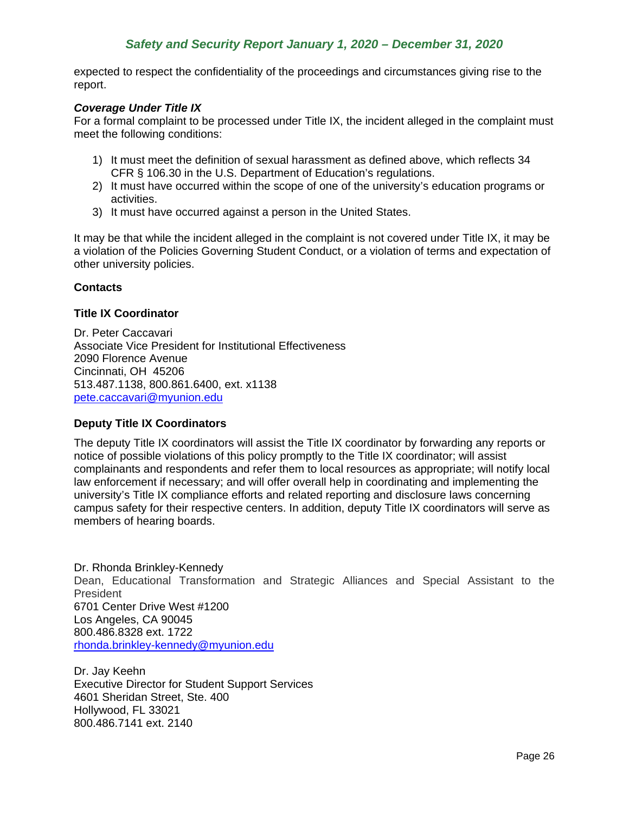expected to respect the confidentiality of the proceedings and circumstances giving rise to the report.

### *Coverage Under Title IX*

For a formal complaint to be processed under Title IX, the incident alleged in the complaint must meet the following conditions:

- 1) It must meet the definition of sexual harassment as defined above, which reflects 34 CFR § 106.30 in the U.S. Department of Education's regulations.
- 2) It must have occurred within the scope of one of the university's education programs or activities.
- 3) It must have occurred against a person in the United States.

It may be that while the incident alleged in the complaint is not covered under Title IX, it may be a violation of the Policies Governing Student Conduct, or a violation of terms and expectation of other university policies.

### **Contacts**

### **Title IX Coordinator**

Dr. Peter Caccavari Associate Vice President for Institutional Effectiveness 2090 Florence Avenue Cincinnati, OH 45206 513.487.1138, 800.861.6400, ext. x1138 [pete.caccavari@myunion.edu](http://pete.caccavari@myunion.edu)

#### **Deputy Title IX Coordinators**

The deputy Title IX coordinators will assist the Title IX coordinator by forwarding any reports or notice of possible violations of this policy promptly to the Title IX coordinator; will assist complainants and respondents and refer them to local resources as appropriate; will notify local law enforcement if necessary; and will offer overall help in coordinating and implementing the university's Title IX compliance efforts and related reporting and disclosure laws concerning campus safety for their respective centers. In addition, deputy Title IX coordinators will serve as members of hearing boards.

Dr. Rhonda Brinkley-Kennedy Dean, Educational Transformation and Strategic Alliances and Special Assistant to the President 6701 Center Drive West #1200 Los Angeles, CA 90045 800.486.8328 ext. 1722 [rhonda.brinkley-kennedy@myunion.edu](mailto:beth.pastores-palffy@myunion.edu)

Dr. Jay Keehn Executive Director for Student Support Services 4601 Sheridan Street, Ste. 400 Hollywood, FL 33021 800.486.7141 ext. 2140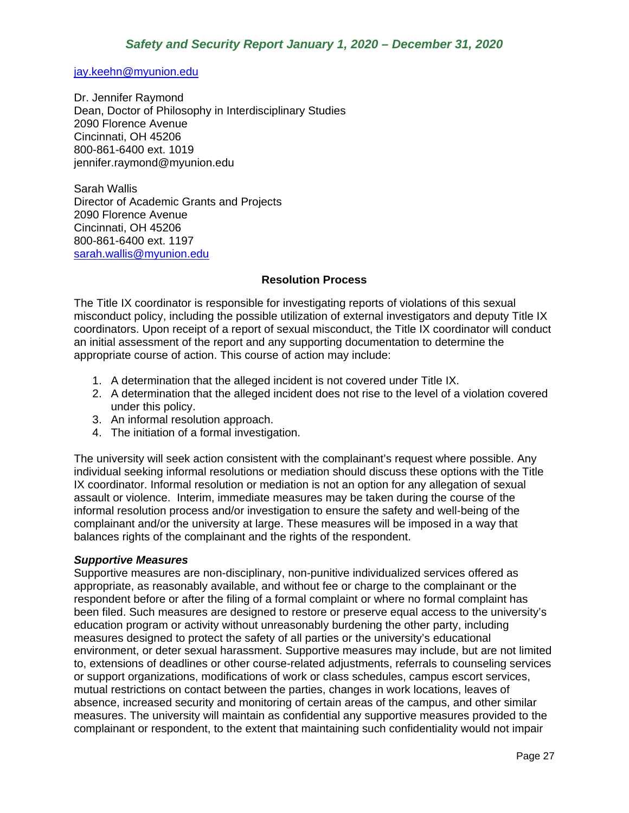[jay.keehn@myunion.edu](mailto:jay.keehn@myunion.edu)

Dr. Jennifer Raymond Dean, Doctor of Philosophy in Interdisciplinary Studies 2090 Florence Avenue Cincinnati, OH 45206 800-861-6400 ext. 1019 jennifer.raymond@myunion.edu

Sarah Wallis Director of Academic Grants and Projects 2090 Florence Avenue Cincinnati, OH 45206 800-861-6400 ext. 1197 [sarah.wallis@myunion.edu](mailto:sarah.wallis@myunion.edu)

### **Resolution Process**

The Title IX coordinator is responsible for investigating reports of violations of this sexual misconduct policy, including the possible utilization of external investigators and deputy Title IX coordinators. Upon receipt of a report of sexual misconduct, the Title IX coordinator will conduct an initial assessment of the report and any supporting documentation to determine the appropriate course of action. This course of action may include:

- 1. A determination that the alleged incident is not covered under Title IX.
- 2. A determination that the alleged incident does not rise to the level of a violation covered under this policy.
- 3. An informal resolution approach.
- 4. The initiation of a formal investigation.

The university will seek action consistent with the complainant's request where possible. Any individual seeking informal resolutions or mediation should discuss these options with the Title IX coordinator. Informal resolution or mediation is not an option for any allegation of sexual assault or violence. Interim, immediate measures may be taken during the course of the informal resolution process and/or investigation to ensure the safety and well-being of the complainant and/or the university at large. These measures will be imposed in a way that balances rights of the complainant and the rights of the respondent.

#### *Supportive Measures*

Supportive measures are non-disciplinary, non-punitive individualized services offered as appropriate, as reasonably available, and without fee or charge to the complainant or the respondent before or after the filing of a formal complaint or where no formal complaint has been filed. Such measures are designed to restore or preserve equal access to the university's education program or activity without unreasonably burdening the other party, including measures designed to protect the safety of all parties or the university's educational environment, or deter sexual harassment. Supportive measures may include, but are not limited to, extensions of deadlines or other course-related adjustments, referrals to counseling services or support organizations, modifications of work or class schedules, campus escort services, mutual restrictions on contact between the parties, changes in work locations, leaves of absence, increased security and monitoring of certain areas of the campus, and other similar measures. The university will maintain as confidential any supportive measures provided to the complainant or respondent, to the extent that maintaining such confidentiality would not impair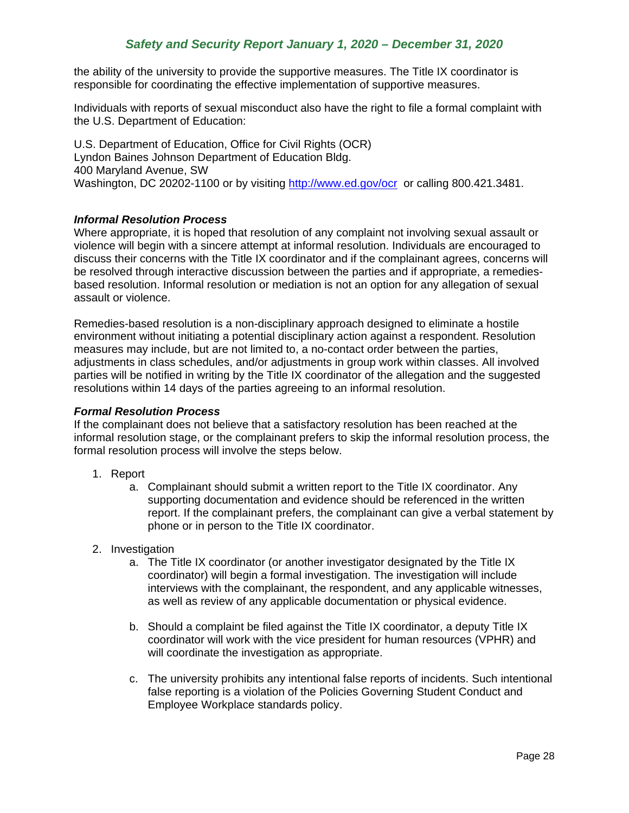the ability of the university to provide the supportive measures. The Title IX coordinator is responsible for coordinating the effective implementation of supportive measures.

Individuals with reports of sexual misconduct also have the right to file a formal complaint with the U.S. Department of Education:

U.S. Department of Education, Office for Civil Rights (OCR) Lyndon Baines Johnson Department of Education Bldg. 400 Maryland Avenue, SW Washington, DC 20202-1100 or by visiting<http://www.ed.gov/ocr>or calling 800.421.3481.

### *Informal Resolution Process*

Where appropriate, it is hoped that resolution of any complaint not involving sexual assault or violence will begin with a sincere attempt at informal resolution. Individuals are encouraged to discuss their concerns with the Title IX coordinator and if the complainant agrees, concerns will be resolved through interactive discussion between the parties and if appropriate, a remediesbased resolution. Informal resolution or mediation is not an option for any allegation of sexual assault or violence.

Remedies-based resolution is a non-disciplinary approach designed to eliminate a hostile environment without initiating a potential disciplinary action against a respondent. Resolution measures may include, but are not limited to, a no-contact order between the parties, adjustments in class schedules, and/or adjustments in group work within classes. All involved parties will be notified in writing by the Title IX coordinator of the allegation and the suggested resolutions within 14 days of the parties agreeing to an informal resolution.

### *Formal Resolution Process*

If the complainant does not believe that a satisfactory resolution has been reached at the informal resolution stage, or the complainant prefers to skip the informal resolution process, the formal resolution process will involve the steps below.

- 1. Report
	- a. Complainant should submit a written report to the Title IX coordinator. Any supporting documentation and evidence should be referenced in the written report. If the complainant prefers, the complainant can give a verbal statement by phone or in person to the Title IX coordinator.
- 2. Investigation
	- a. The Title IX coordinator (or another investigator designated by the Title IX coordinator) will begin a formal investigation. The investigation will include interviews with the complainant, the respondent, and any applicable witnesses, as well as review of any applicable documentation or physical evidence.
	- b. Should a complaint be filed against the Title IX coordinator, a deputy Title IX coordinator will work with the vice president for human resources (VPHR) and will coordinate the investigation as appropriate.
	- c. The university prohibits any intentional false reports of incidents. Such intentional false reporting is a violation of the Policies Governing Student Conduct and Employee Workplace standards policy.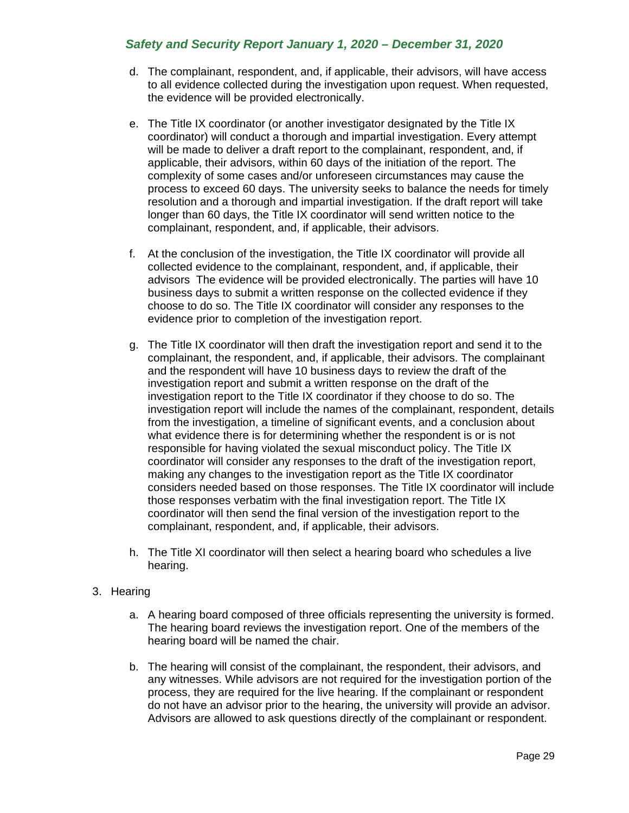- d. The complainant, respondent, and, if applicable, their advisors, will have access to all evidence collected during the investigation upon request. When requested, the evidence will be provided electronically.
- e. The Title IX coordinator (or another investigator designated by the Title IX coordinator) will conduct a thorough and impartial investigation. Every attempt will be made to deliver a draft report to the complainant, respondent, and, if applicable, their advisors, within 60 days of the initiation of the report. The complexity of some cases and/or unforeseen circumstances may cause the process to exceed 60 days. The university seeks to balance the needs for timely resolution and a thorough and impartial investigation. If the draft report will take longer than 60 days, the Title IX coordinator will send written notice to the complainant, respondent, and, if applicable, their advisors.
- f. At the conclusion of the investigation, the Title IX coordinator will provide all collected evidence to the complainant, respondent, and, if applicable, their advisors The evidence will be provided electronically. The parties will have 10 business days to submit a written response on the collected evidence if they choose to do so. The Title IX coordinator will consider any responses to the evidence prior to completion of the investigation report.
- g. The Title IX coordinator will then draft the investigation report and send it to the complainant, the respondent, and, if applicable, their advisors. The complainant and the respondent will have 10 business days to review the draft of the investigation report and submit a written response on the draft of the investigation report to the Title IX coordinator if they choose to do so. The investigation report will include the names of the complainant, respondent, details from the investigation, a timeline of significant events, and a conclusion about what evidence there is for determining whether the respondent is or is not responsible for having violated the sexual misconduct policy. The Title IX coordinator will consider any responses to the draft of the investigation report, making any changes to the investigation report as the Title IX coordinator considers needed based on those responses. The Title IX coordinator will include those responses verbatim with the final investigation report. The Title IX coordinator will then send the final version of the investigation report to the complainant, respondent, and, if applicable, their advisors.
- h. The Title XI coordinator will then select a hearing board who schedules a live hearing.

## 3. Hearing

- a. A hearing board composed of three officials representing the university is formed. The hearing board reviews the investigation report. One of the members of the hearing board will be named the chair.
- b. The hearing will consist of the complainant, the respondent, their advisors, and any witnesses. While advisors are not required for the investigation portion of the process, they are required for the live hearing. If the complainant or respondent do not have an advisor prior to the hearing, the university will provide an advisor. Advisors are allowed to ask questions directly of the complainant or respondent.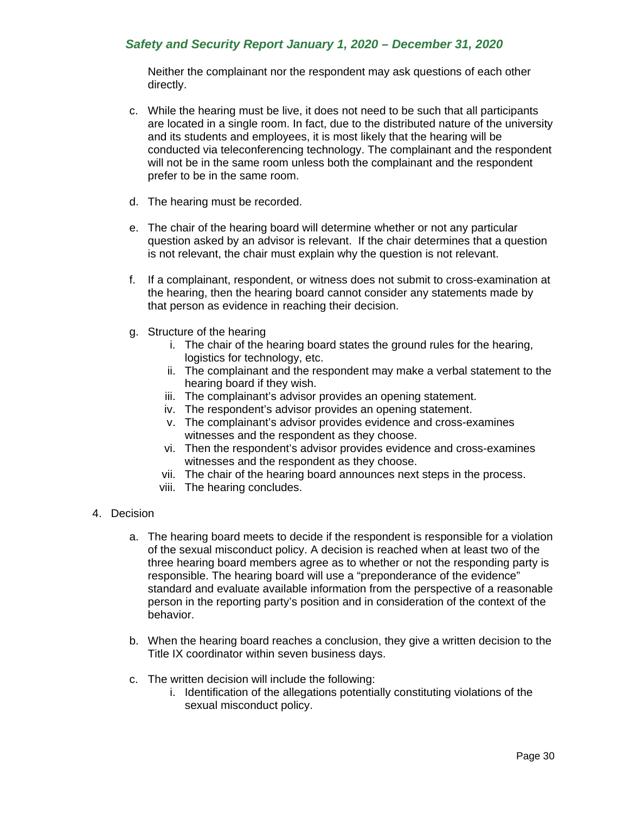Neither the complainant nor the respondent may ask questions of each other directly.

- c. While the hearing must be live, it does not need to be such that all participants are located in a single room. In fact, due to the distributed nature of the university and its students and employees, it is most likely that the hearing will be conducted via teleconferencing technology. The complainant and the respondent will not be in the same room unless both the complainant and the respondent prefer to be in the same room.
- d. The hearing must be recorded.
- e. The chair of the hearing board will determine whether or not any particular question asked by an advisor is relevant. If the chair determines that a question is not relevant, the chair must explain why the question is not relevant.
- f. If a complainant, respondent, or witness does not submit to cross-examination at the hearing, then the hearing board cannot consider any statements made by that person as evidence in reaching their decision.
- g. Structure of the hearing
	- i. The chair of the hearing board states the ground rules for the hearing, logistics for technology, etc.
	- ii. The complainant and the respondent may make a verbal statement to the hearing board if they wish.
	- iii. The complainant's advisor provides an opening statement.
	- iv. The respondent's advisor provides an opening statement.
	- v. The complainant's advisor provides evidence and cross-examines witnesses and the respondent as they choose.
	- vi. Then the respondent's advisor provides evidence and cross-examines witnesses and the respondent as they choose.
	- vii. The chair of the hearing board announces next steps in the process.
	- viii. The hearing concludes.
- 4. Decision
	- a. The hearing board meets to decide if the respondent is responsible for a violation of the sexual misconduct policy. A decision is reached when at least two of the three hearing board members agree as to whether or not the responding party is responsible. The hearing board will use a "preponderance of the evidence" standard and evaluate available information from the perspective of a reasonable person in the reporting party's position and in consideration of the context of the behavior.
	- b. When the hearing board reaches a conclusion, they give a written decision to the Title IX coordinator within seven business days.
	- c. The written decision will include the following:
		- i. Identification of the allegations potentially constituting violations of the sexual misconduct policy.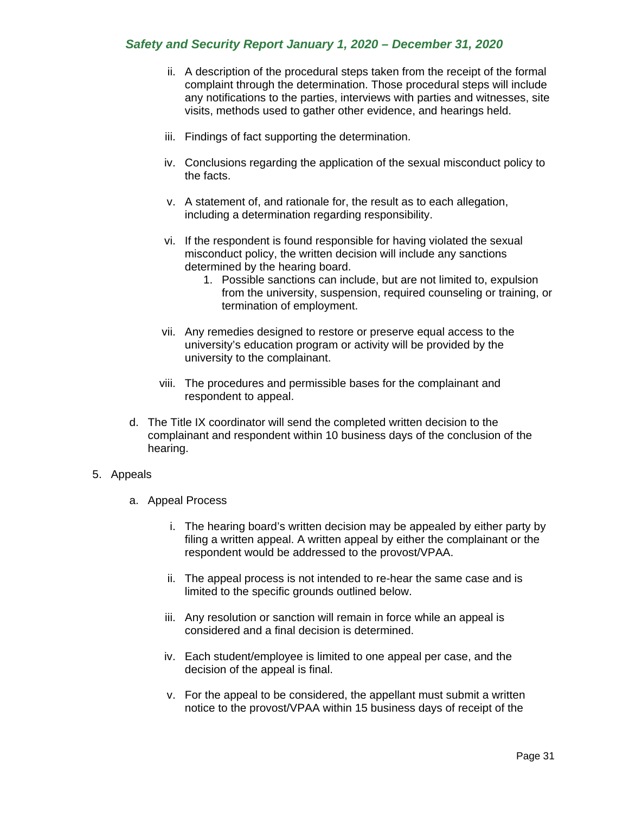- ii. A description of the procedural steps taken from the receipt of the formal complaint through the determination. Those procedural steps will include any notifications to the parties, interviews with parties and witnesses, site visits, methods used to gather other evidence, and hearings held.
- iii. Findings of fact supporting the determination.
- iv. Conclusions regarding the application of the sexual misconduct policy to the facts.
- v. A statement of, and rationale for, the result as to each allegation, including a determination regarding responsibility.
- vi. If the respondent is found responsible for having violated the sexual misconduct policy, the written decision will include any sanctions determined by the hearing board.
	- 1. Possible sanctions can include, but are not limited to, expulsion from the university, suspension, required counseling or training, or termination of employment.
- vii. Any remedies designed to restore or preserve equal access to the university's education program or activity will be provided by the university to the complainant.
- viii. The procedures and permissible bases for the complainant and respondent to appeal.
- d. The Title IX coordinator will send the completed written decision to the complainant and respondent within 10 business days of the conclusion of the hearing.

### 5. Appeals

- a. Appeal Process
	- i. The hearing board's written decision may be appealed by either party by filing a written appeal. A written appeal by either the complainant or the respondent would be addressed to the provost/VPAA.
	- ii. The appeal process is not intended to re-hear the same case and is limited to the specific grounds outlined below.
	- iii. Any resolution or sanction will remain in force while an appeal is considered and a final decision is determined.
	- iv. Each student/employee is limited to one appeal per case, and the decision of the appeal is final.
	- v. For the appeal to be considered, the appellant must submit a written notice to the provost/VPAA within 15 business days of receipt of the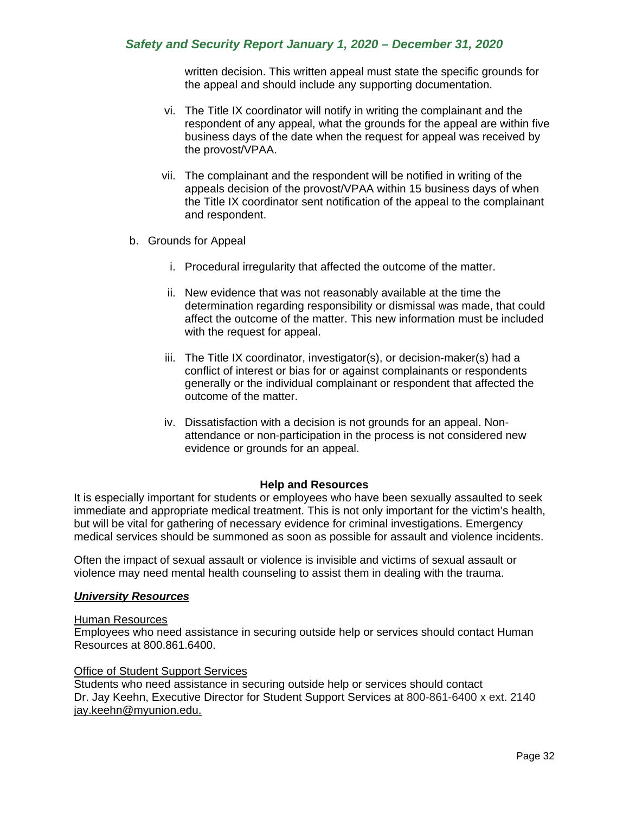written decision. This written appeal must state the specific grounds for the appeal and should include any supporting documentation.

- vi. The Title IX coordinator will notify in writing the complainant and the respondent of any appeal, what the grounds for the appeal are within five business days of the date when the request for appeal was received by the provost/VPAA.
- vii. The complainant and the respondent will be notified in writing of the appeals decision of the provost/VPAA within 15 business days of when the Title IX coordinator sent notification of the appeal to the complainant and respondent.
- b. Grounds for Appeal
	- i. Procedural irregularity that affected the outcome of the matter.
	- ii. New evidence that was not reasonably available at the time the determination regarding responsibility or dismissal was made, that could affect the outcome of the matter. This new information must be included with the request for appeal.
	- iii. The Title IX coordinator, investigator(s), or decision-maker(s) had a conflict of interest or bias for or against complainants or respondents generally or the individual complainant or respondent that affected the outcome of the matter.
	- iv. Dissatisfaction with a decision is not grounds for an appeal. Nonattendance or non-participation in the process is not considered new evidence or grounds for an appeal.

### **Help and Resources**

It is especially important for students or employees who have been sexually assaulted to seek immediate and appropriate medical treatment. This is not only important for the victim's health, but will be vital for gathering of necessary evidence for criminal investigations. Emergency medical services should be summoned as soon as possible for assault and violence incidents.

Often the impact of sexual assault or violence is invisible and victims of sexual assault or violence may need mental health counseling to assist them in dealing with the trauma.

### *University Resources*

### Human Resources

Employees who need assistance in securing outside help or services should contact Human Resources at 800.861.6400.

### Office of Student Support Services

Students who need assistance in securing outside help or services should contact Dr. Jay Keehn, Executive Director for Student Support Services at 800-861-6400 x ext. 2140 jay.keehn@myunion.edu.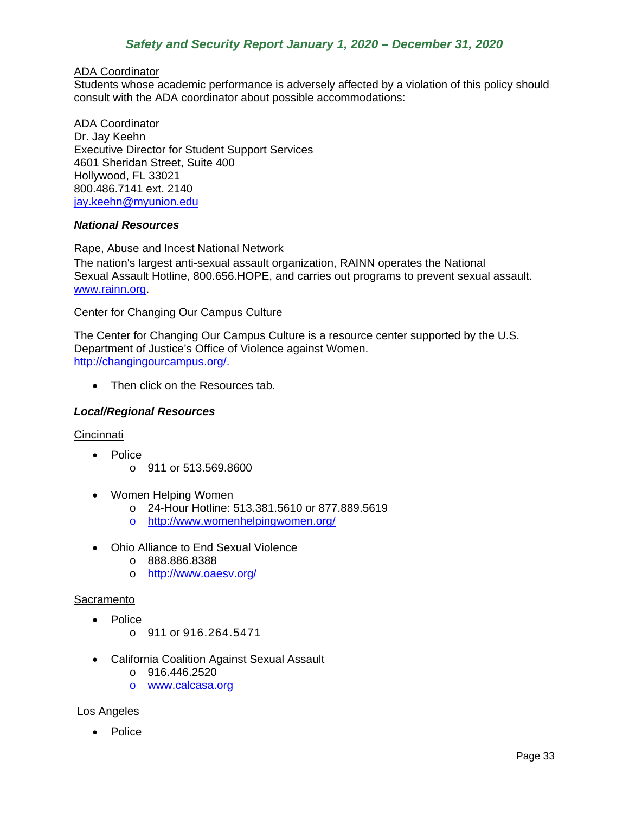### ADA Coordinator

Students whose academic performance is adversely affected by a violation of this policy should consult with the ADA coordinator about possible accommodations:

ADA Coordinator Dr. Jay Keehn Executive Director for Student Support Services 4601 Sheridan Street, Suite 400 Hollywood, FL 33021 800.486.7141 ext. 2140 [jay.keehn@myunion.edu](mailto:jay.keehn@myunion.edu)

### *National Resources*

### Rape, Abuse and Incest National Network

The nation's largest anti-sexual assault organization, RAINN operates the National Sexual Assault Hotline, 800.656.HOPE, and carries out programs to prevent sexual assault. [www.rainn.org.](http://www.rainn.org/)

#### Center for Changing Our Campus Culture

The Center for Changing Our Campus Culture is a resource center supported by the U.S. Department of Justice's Office of Violence against Women. [http://changingourcampus.org/.](http://changingourcampus.org/)

• Then click on the Resources tab.

### *Local/Regional Resources*

#### **Cincinnati**

- Police
	- o 911 or 513.569.8600
- Women Helping Women
	- o 24-Hour Hotline: 513.381.5610 or 877.889.5619
	- o <http://www.womenhelpingwomen.org/>
- Ohio Alliance to End Sexual Violence
	- o 888.886.8388
	- o <http://www.oaesv.org/>

#### **Sacramento**

- Police
	- o 911 or 916.264.5471
- California Coalition Against Sexual Assault
	- o 916.446.2520
	- o [www.calcasa.org](http://www.calcasa.org/)

#### Los Angeles

• Police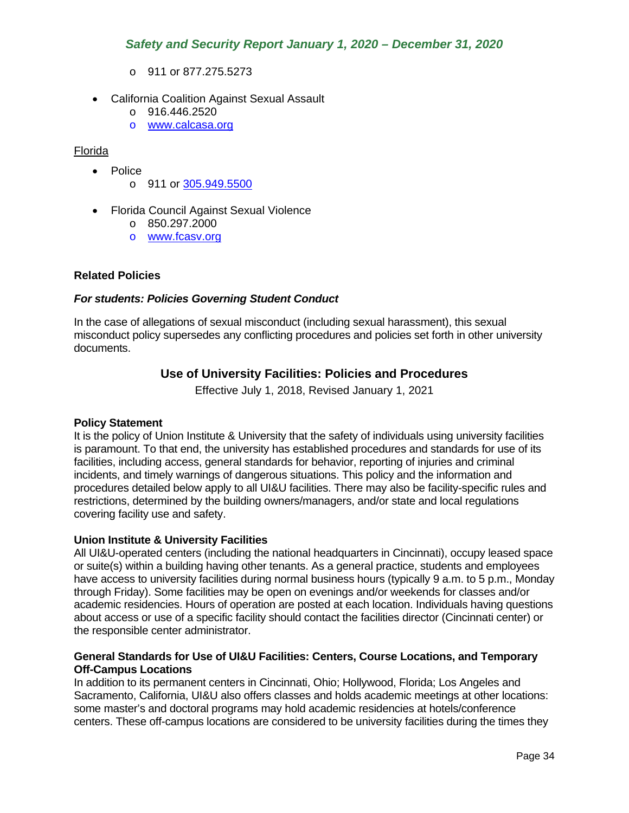- o 911 or 877.275.5273
- California Coalition Against Sexual Assault
	- o 916.446.2520
	- o [www.calcasa.org](http://www.calcasa.org/)

### Florida

- Police
	- o 911 or [305.949.5500](javascript:void(0))
- Florida Council Against Sexual Violence
	- o 850.297.2000
	- o [www.fcasv.org](http://www.fcasv.org/)

### **Related Policies**

### *For students: Policies Governing Student Conduct*

<span id="page-34-0"></span>In the case of allegations of sexual misconduct (including sexual harassment), this sexual misconduct policy supersedes any conflicting procedures and policies set forth in other university documents.

## **Use of University Facilities: Policies and Procedures**

Effective July 1, 2018, Revised January 1, 2021

### **Policy Statement**

It is the policy of Union Institute & University that the safety of individuals using university facilities is paramount. To that end, the university has established procedures and standards for use of its facilities, including access, general standards for behavior, reporting of injuries and criminal incidents, and timely warnings of dangerous situations. This policy and the information and procedures detailed below apply to all UI&U facilities. There may also be facility-specific rules and restrictions, determined by the building owners/managers, and/or state and local regulations covering facility use and safety.

### **Union Institute & University Facilities**

All UI&U-operated centers (including the national headquarters in Cincinnati), occupy leased space or suite(s) within a building having other tenants. As a general practice, students and employees have access to university facilities during normal business hours (typically 9 a.m. to 5 p.m., Monday through Friday). Some facilities may be open on evenings and/or weekends for classes and/or academic residencies. Hours of operation are posted at each location. Individuals having questions about access or use of a specific facility should contact the facilities director (Cincinnati center) or the responsible center administrator.

### **General Standards for Use of UI&U Facilities: Centers, Course Locations, and Temporary Off-Campus Locations**

In addition to its permanent centers in Cincinnati, Ohio; Hollywood, Florida; Los Angeles and Sacramento, California, UI&U also offers classes and holds academic meetings at other locations: some master's and doctoral programs may hold academic residencies at hotels/conference centers. These off-campus locations are considered to be university facilities during the times they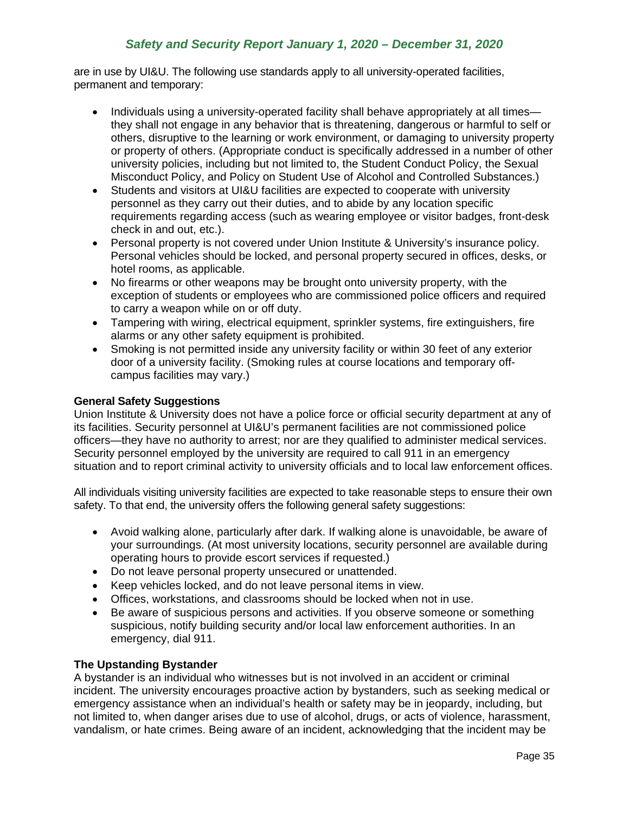are in use by UI&U. The following use standards apply to all university-operated facilities, permanent and temporary:

- Individuals using a university-operated facility shall behave appropriately at all times they shall not engage in any behavior that is threatening, dangerous or harmful to self or others, disruptive to the learning or work environment, or damaging to university property or property of others. (Appropriate conduct is specifically addressed in a number of other university policies, including but not limited to, the Student Conduct Policy, the Sexual Misconduct Policy, and Policy on Student Use of Alcohol and Controlled Substances.)
- Students and visitors at UI&U facilities are expected to cooperate with university personnel as they carry out their duties, and to abide by any location specific requirements regarding access (such as wearing employee or visitor badges, front-desk check in and out, etc.).
- Personal property is not covered under Union Institute & University's insurance policy. Personal vehicles should be locked, and personal property secured in offices, desks, or hotel rooms, as applicable.
- No firearms or other weapons may be brought onto university property, with the exception of students or employees who are commissioned police officers and required to carry a weapon while on or off duty.
- Tampering with wiring, electrical equipment, sprinkler systems, fire extinguishers, fire alarms or any other safety equipment is prohibited.
- Smoking is not permitted inside any university facility or within 30 feet of any exterior door of a university facility. (Smoking rules at course locations and temporary offcampus facilities may vary.)

### **General Safety Suggestions**

Union Institute & University does not have a police force or official security department at any of its facilities. Security personnel at UI&U's permanent facilities are not commissioned police officers—they have no authority to arrest; nor are they qualified to administer medical services. Security personnel employed by the university are required to call 911 in an emergency situation and to report criminal activity to university officials and to local law enforcement offices.

All individuals visiting university facilities are expected to take reasonable steps to ensure their own safety. To that end, the university offers the following general safety suggestions:

- Avoid walking alone, particularly after dark. If walking alone is unavoidable, be aware of your surroundings. (At most university locations, security personnel are available during operating hours to provide escort services if requested.)
- Do not leave personal property unsecured or unattended.
- Keep vehicles locked, and do not leave personal items in view.
- Offices, workstations, and classrooms should be locked when not in use.
- Be aware of suspicious persons and activities. If you observe someone or something suspicious, notify building security and/or local law enforcement authorities. In an emergency, dial 911.

### **The Upstanding Bystander**

A bystander is an individual who witnesses but is not involved in an accident or criminal incident. The university encourages proactive action by bystanders, such as seeking medical or emergency assistance when an individual's health or safety may be in jeopardy, including, but not limited to, when danger arises due to use of alcohol, drugs, or acts of violence, harassment, vandalism, or hate crimes. Being aware of an incident, acknowledging that the incident may be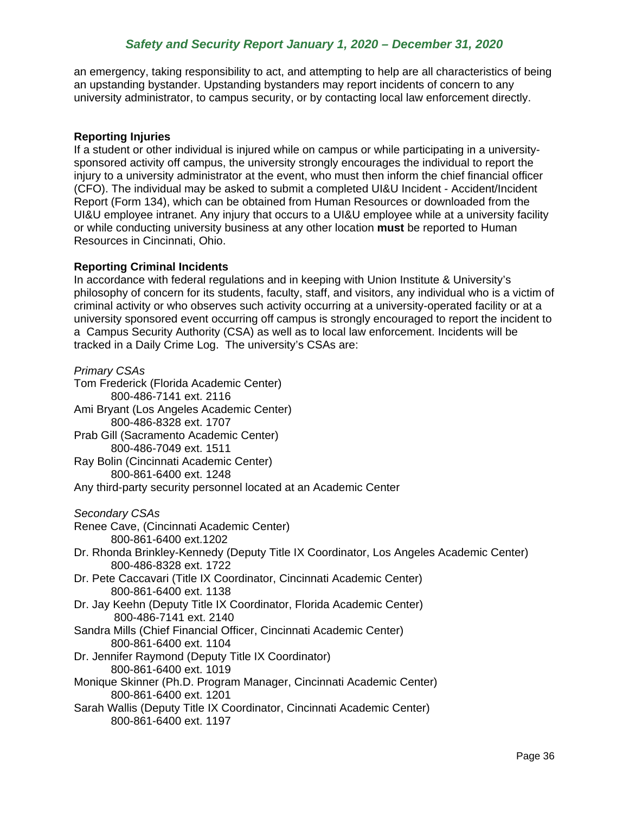an emergency, taking responsibility to act, and attempting to help are all characteristics of being an upstanding bystander. Upstanding bystanders may report incidents of concern to any university administrator, to campus security, or by contacting local law enforcement directly.

### **Reporting Injuries**

If a student or other individual is injured while on campus or while participating in a universitysponsored activity off campus, the university strongly encourages the individual to report the injury to a university administrator at the event, who must then inform the chief financial officer (CFO). The individual may be asked to submit a completed UI&U Incident - Accident/Incident Report (Form 134), which can be obtained from Human Resources or downloaded from the UI&U employee intranet. Any injury that occurs to a UI&U employee while at a university facility or while conducting university business at any other location **must** be reported to Human Resources in Cincinnati, Ohio.

### **Reporting Criminal Incidents**

In accordance with federal regulations and in keeping with Union Institute & University's philosophy of concern for its students, faculty, staff, and visitors, any individual who is a victim of criminal activity or who observes such activity occurring at a university-operated facility or at a university sponsored event occurring off campus is strongly encouraged to report the incident to a Campus Security Authority (CSA) as well as to local law enforcement. Incidents will be tracked in a Daily Crime Log. The university's CSAs are:

*Primary CSAs* Tom Frederick (Florida Academic Center) 800-486-7141 ext. 2116 Ami Bryant (Los Angeles Academic Center) 800-486-8328 ext. 1707 Prab Gill (Sacramento Academic Center) 800-486-7049 ext. 1511 Ray Bolin (Cincinnati Academic Center) 800-861-6400 ext. 1248 Any third-party security personnel located at an Academic Center *Secondary CSAs* Renee Cave, (Cincinnati Academic Center) 800-861-6400 ext.1202 Dr. Rhonda Brinkley-Kennedy (Deputy Title IX Coordinator, Los Angeles Academic Center) 800-486-8328 ext. 1722 Dr. Pete Caccavari (Title IX Coordinator, Cincinnati Academic Center) 800-861-6400 ext. 1138 Dr. Jay Keehn (Deputy Title IX Coordinator, Florida Academic Center) 800-486-7141 ext. 2140 Sandra Mills (Chief Financial Officer, Cincinnati Academic Center) 800-861-6400 ext. 1104 Dr. Jennifer Raymond (Deputy Title IX Coordinator) 800-861-6400 ext. 1019 Monique Skinner (Ph.D. Program Manager, Cincinnati Academic Center) 800-861-6400 ext. 1201 Sarah Wallis (Deputy Title IX Coordinator, Cincinnati Academic Center) 800-861-6400 ext. 1197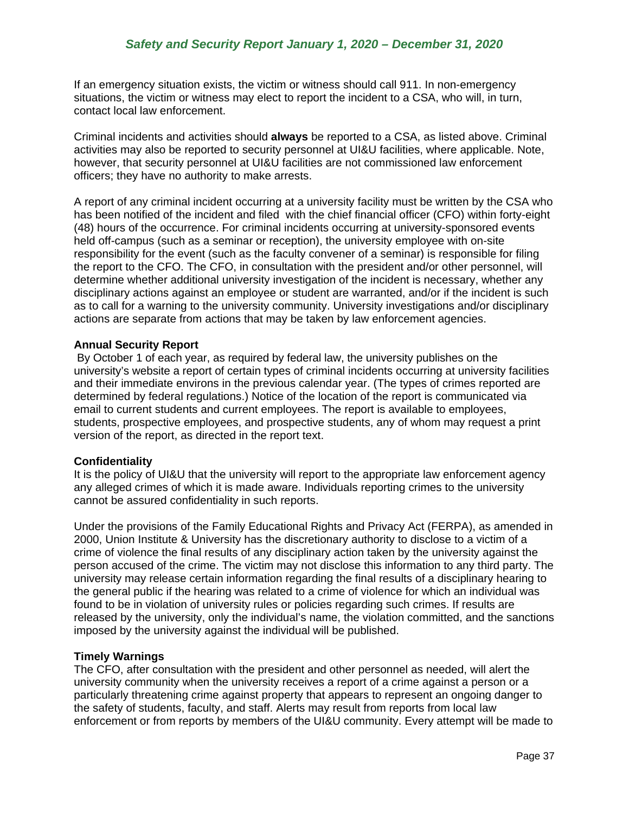If an emergency situation exists, the victim or witness should call 911. In non-emergency situations, the victim or witness may elect to report the incident to a CSA, who will, in turn, contact local law enforcement.

Criminal incidents and activities should **always** be reported to a CSA, as listed above. Criminal activities may also be reported to security personnel at UI&U facilities, where applicable. Note, however, that security personnel at UI&U facilities are not commissioned law enforcement officers; they have no authority to make arrests.

A report of any criminal incident occurring at a university facility must be written by the CSA who has been notified of the incident and filed with the chief financial officer (CFO) within forty-eight (48) hours of the occurrence. For criminal incidents occurring at university-sponsored events held off-campus (such as a seminar or reception), the university employee with on-site responsibility for the event (such as the faculty convener of a seminar) is responsible for filing the report to the CFO. The CFO, in consultation with the president and/or other personnel, will determine whether additional university investigation of the incident is necessary, whether any disciplinary actions against an employee or student are warranted, and/or if the incident is such as to call for a warning to the university community. University investigations and/or disciplinary actions are separate from actions that may be taken by law enforcement agencies.

### **Annual Security Report**

By October 1 of each year, as required by federal law, the university publishes on the university's website a report of certain types of criminal incidents occurring at university facilities and their immediate environs in the previous calendar year. (The types of crimes reported are determined by federal regulations.) Notice of the location of the report is communicated via email to current students and current employees. The report is available to employees, students, prospective employees, and prospective students, any of whom may request a print version of the report, as directed in the report text.

### **Confidentiality**

It is the policy of UI&U that the university will report to the appropriate law enforcement agency any alleged crimes of which it is made aware. Individuals reporting crimes to the university cannot be assured confidentiality in such reports.

Under the provisions of the Family Educational Rights and Privacy Act (FERPA), as amended in 2000, Union Institute & University has the discretionary authority to disclose to a victim of a crime of violence the final results of any disciplinary action taken by the university against the person accused of the crime. The victim may not disclose this information to any third party. The university may release certain information regarding the final results of a disciplinary hearing to the general public if the hearing was related to a crime of violence for which an individual was found to be in violation of university rules or policies regarding such crimes. If results are released by the university, only the individual's name, the violation committed, and the sanctions imposed by the university against the individual will be published.

### **Timely Warnings**

The CFO, after consultation with the president and other personnel as needed, will alert the university community when the university receives a report of a crime against a person or a particularly threatening crime against property that appears to represent an ongoing danger to the safety of students, faculty, and staff. Alerts may result from reports from local law enforcement or from reports by members of the UI&U community. Every attempt will be made to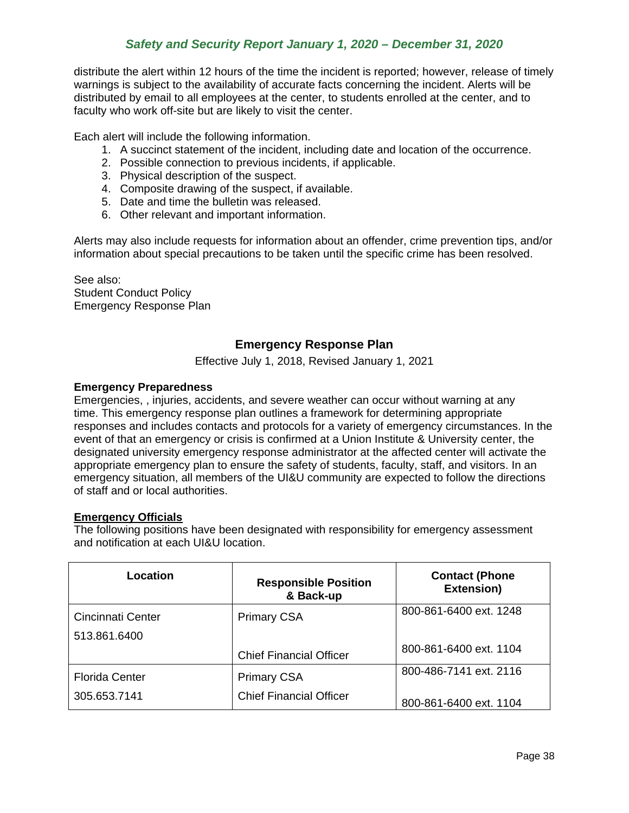distribute the alert within 12 hours of the time the incident is reported; however, release of timely warnings is subject to the availability of accurate facts concerning the incident. Alerts will be distributed by email to all employees at the center, to students enrolled at the center, and to faculty who work off-site but are likely to visit the center.

Each alert will include the following information.

- 1. A succinct statement of the incident, including date and location of the occurrence.
- 2. Possible connection to previous incidents, if applicable.
- 3. Physical description of the suspect.
- 4. Composite drawing of the suspect, if available.
- 5. Date and time the bulletin was released.
- 6. Other relevant and important information.

Alerts may also include requests for information about an offender, crime prevention tips, and/or information about special precautions to be taken until the specific crime has been resolved.

<span id="page-38-0"></span>See also: Student Conduct Policy Emergency Response Plan

## **Emergency Response Plan**

Effective July 1, 2018, Revised January 1, 2021

#### **Emergency Preparedness**

Emergencies, , injuries, accidents, and severe weather can occur without warning at any time. This emergency response plan outlines a framework for determining appropriate responses and includes contacts and protocols for a variety of emergency circumstances. In the event of that an emergency or crisis is confirmed at a Union Institute & University center, the designated university emergency response administrator at the affected center will activate the appropriate emergency plan to ensure the safety of students, faculty, staff, and visitors. In an emergency situation, all members of the UI&U community are expected to follow the directions of staff and or local authorities.

#### **Emergency Officials**

The following positions have been designated with responsibility for emergency assessment and notification at each UI&U location.

| Location              | <b>Responsible Position</b><br>& Back-up | <b>Contact (Phone</b><br>Extension) |
|-----------------------|------------------------------------------|-------------------------------------|
| Cincinnati Center     | <b>Primary CSA</b>                       | 800-861-6400 ext. 1248              |
| 513.861.6400          |                                          |                                     |
|                       | <b>Chief Financial Officer</b>           | 800-861-6400 ext. 1104              |
| <b>Florida Center</b> | <b>Primary CSA</b>                       | 800-486-7141 ext. 2116              |
| 305.653.7141          | <b>Chief Financial Officer</b>           | 800-861-6400 ext. 1104              |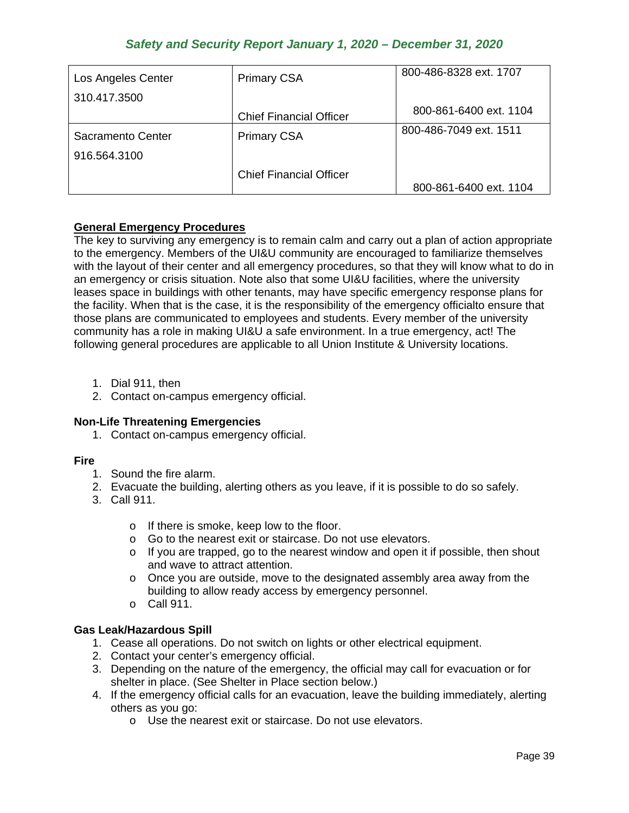| Los Angeles Center | <b>Primary CSA</b>             | 800-486-8328 ext. 1707 |
|--------------------|--------------------------------|------------------------|
| 310.417.3500       |                                |                        |
|                    | <b>Chief Financial Officer</b> | 800-861-6400 ext. 1104 |
| Sacramento Center  | <b>Primary CSA</b>             | 800-486-7049 ext. 1511 |
| 916.564.3100       |                                |                        |
|                    | <b>Chief Financial Officer</b> |                        |
|                    |                                | 800-861-6400 ext. 1104 |

## **General Emergency Procedures**

The key to surviving any emergency is to remain calm and carry out a plan of action appropriate to the emergency. Members of the UI&U community are encouraged to familiarize themselves with the layout of their center and all emergency procedures, so that they will know what to do in an emergency or crisis situation. Note also that some UI&U facilities, where the university leases space in buildings with other tenants, may have specific emergency response plans for the facility. When that is the case, it is the responsibility of the emergency officialto ensure that those plans are communicated to employees and students. Every member of the university community has a role in making UI&U a safe environment. In a true emergency, act! The following general procedures are applicable to all Union Institute & University locations.

- 1. Dial 911, then
- 2. Contact on-campus emergency official.

## **Non-Life Threatening Emergencies**

1. Contact on-campus emergency official.

### **Fire**

- 1. Sound the fire alarm.
- 2. Evacuate the building, alerting others as you leave, if it is possible to do so safely.
- 3. Call 911.
	- o If there is smoke, keep low to the floor.
	- o Go to the nearest exit or staircase. Do not use elevators.
	- $\circ$  If you are trapped, go to the nearest window and open it if possible, then shout and wave to attract attention.
	- o Once you are outside, move to the designated assembly area away from the building to allow ready access by emergency personnel.
	- o Call 911.

## **Gas Leak/Hazardous Spill**

- 1. Cease all operations. Do not switch on lights or other electrical equipment.
- 2. Contact your center's emergency official.
- 3. Depending on the nature of the emergency, the official may call for evacuation or for shelter in place. (See Shelter in Place section below.)
- 4. If the emergency official calls for an evacuation, leave the building immediately, alerting others as you go:
	- o Use the nearest exit or staircase. Do not use elevators.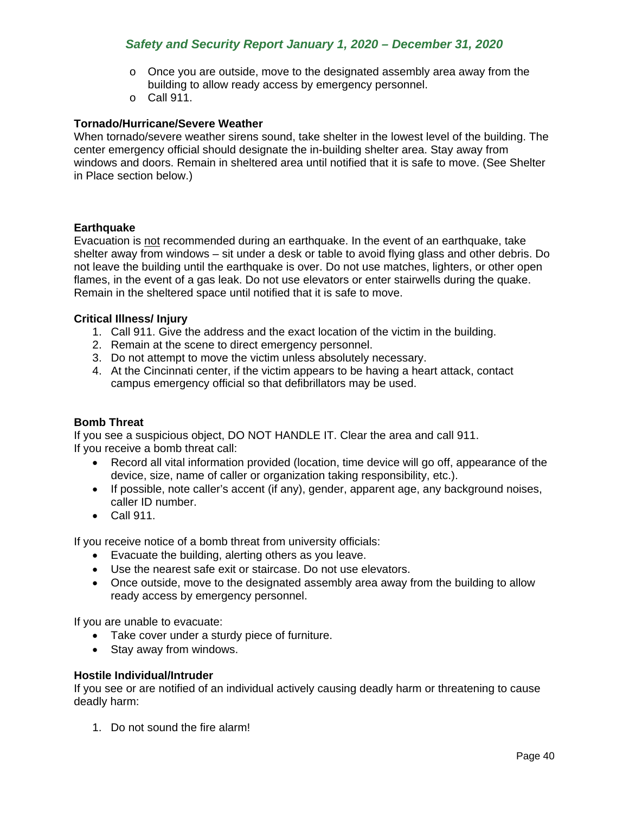- $\circ$  Once you are outside, move to the designated assembly area away from the building to allow ready access by emergency personnel.
- o Call 911.

### **Tornado/Hurricane/Severe Weather**

When tornado/severe weather sirens sound, take shelter in the lowest level of the building. The center emergency official should designate the in-building shelter area. Stay away from windows and doors. Remain in sheltered area until notified that it is safe to move. (See Shelter in Place section below.)

### **Earthquake**

Evacuation is not recommended during an earthquake. In the event of an earthquake, take shelter away from windows – sit under a desk or table to avoid flying glass and other debris. Do not leave the building until the earthquake is over. Do not use matches, lighters, or other open flames, in the event of a gas leak. Do not use elevators or enter stairwells during the quake. Remain in the sheltered space until notified that it is safe to move.

### **Critical Illness/ Injury**

- 1. Call 911. Give the address and the exact location of the victim in the building.
- 2. Remain at the scene to direct emergency personnel.
- 3. Do not attempt to move the victim unless absolutely necessary.
- 4. At the Cincinnati center, if the victim appears to be having a heart attack, contact campus emergency official so that defibrillators may be used.

#### **Bomb Threat**

If you see a suspicious object, DO NOT HANDLE IT. Clear the area and call 911. If you receive a bomb threat call:

- Record all vital information provided (location, time device will go off, appearance of the device, size, name of caller or organization taking responsibility, etc.).
- If possible, note caller's accent (if any), gender, apparent age, any background noises, caller ID number.
- Call 911.

If you receive notice of a bomb threat from university officials:

- Evacuate the building, alerting others as you leave.
- Use the nearest safe exit or staircase. Do not use elevators.
- Once outside, move to the designated assembly area away from the building to allow ready access by emergency personnel.

If you are unable to evacuate:

- Take cover under a sturdy piece of furniture.
- Stay away from windows.

#### **Hostile Individual/Intruder**

If you see or are notified of an individual actively causing deadly harm or threatening to cause deadly harm:

1. Do not sound the fire alarm!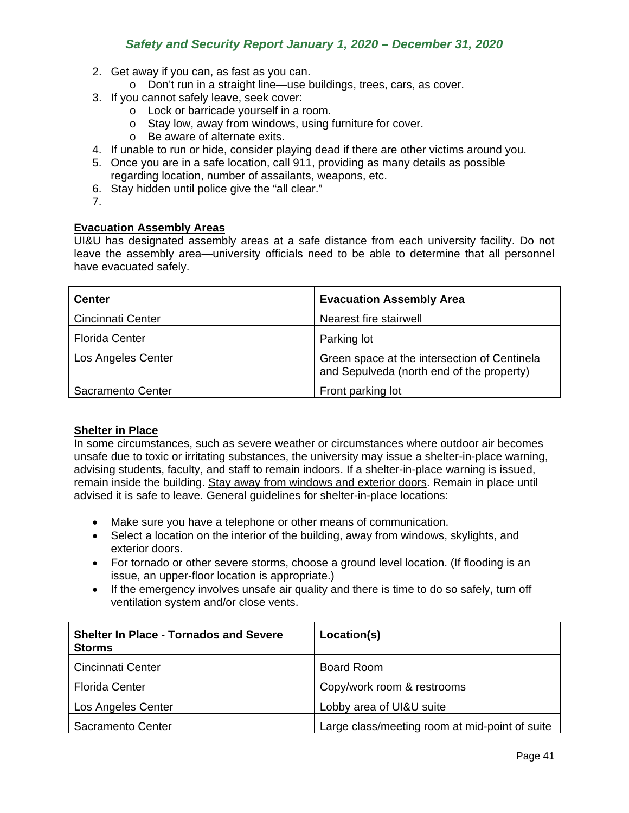- 2. Get away if you can, as fast as you can.
	- o Don't run in a straight line—use buildings, trees, cars, as cover.
- 3. If you cannot safely leave, seek cover:
	- o Lock or barricade yourself in a room.
	- o Stay low, away from windows, using furniture for cover.
	- o Be aware of alternate exits.
- 4. If unable to run or hide, consider playing dead if there are other victims around you.
- 5. Once you are in a safe location, call 911, providing as many details as possible regarding location, number of assailants, weapons, etc.
- 6. Stay hidden until police give the "all clear."
- 7.

### **Evacuation Assembly Areas**

UI&U has designated assembly areas at a safe distance from each university facility. Do not leave the assembly area—university officials need to be able to determine that all personnel have evacuated safely.

| <b>Center</b>            | <b>Evacuation Assembly Area</b>                                                           |
|--------------------------|-------------------------------------------------------------------------------------------|
| <b>Cincinnati Center</b> | Nearest fire stairwell                                                                    |
| <b>Florida Center</b>    | Parking lot                                                                               |
| Los Angeles Center       | Green space at the intersection of Centinela<br>and Sepulveda (north end of the property) |
| Sacramento Center        | Front parking lot                                                                         |

### **Shelter in Place**

In some circumstances, such as severe weather or circumstances where outdoor air becomes unsafe due to toxic or irritating substances, the university may issue a shelter-in-place warning, advising students, faculty, and staff to remain indoors. If a shelter-in-place warning is issued, remain inside the building. Stay away from windows and exterior doors. Remain in place until advised it is safe to leave. General guidelines for shelter-in-place locations:

- Make sure you have a telephone or other means of communication.
- Select a location on the interior of the building, away from windows, skylights, and exterior doors.
- For tornado or other severe storms, choose a ground level location. (If flooding is an issue, an upper-floor location is appropriate.)
- If the emergency involves unsafe air quality and there is time to do so safely, turn off ventilation system and/or close vents.

| <b>Shelter In Place - Tornados and Severe</b><br><b>Storms</b> | Location(s)                                    |
|----------------------------------------------------------------|------------------------------------------------|
| <b>Cincinnati Center</b>                                       | <b>Board Room</b>                              |
| <b>Florida Center</b>                                          | Copy/work room & restrooms                     |
| Los Angeles Center                                             | Lobby area of UI&U suite                       |
| Sacramento Center                                              | Large class/meeting room at mid-point of suite |